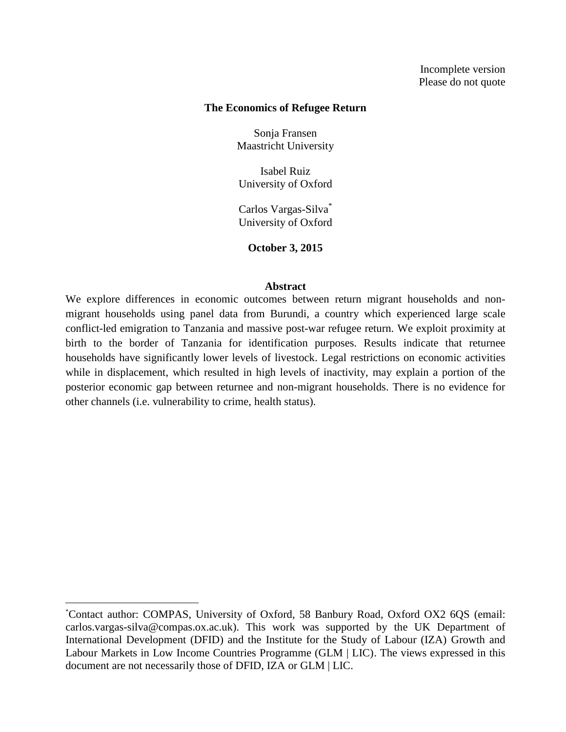### **The Economics of Refugee Return**

Sonja Fransen Maastricht University

Isabel Ruiz University of Oxford

Carlos Vargas-Silva\* University of Oxford

**October 3, 2015**

### **Abstract**

We explore differences in economic outcomes between return migrant households and nonmigrant households using panel data from Burundi, a country which experienced large scale conflict-led emigration to Tanzania and massive post-war refugee return. We exploit proximity at birth to the border of Tanzania for identification purposes. Results indicate that returnee households have significantly lower levels of livestock. Legal restrictions on economic activities while in displacement, which resulted in high levels of inactivity, may explain a portion of the posterior economic gap between returnee and non-migrant households. There is no evidence for other channels (i.e. vulnerability to crime, health status).

 $\overline{a}$ 

<sup>\*</sup>Contact author: COMPAS, University of Oxford, 58 Banbury Road, Oxford OX2 6QS (email: carlos.vargas-silva@compas.ox.ac.uk). This work was supported by the UK Department of International Development (DFID) and the Institute for the Study of Labour (IZA) Growth and Labour Markets in Low Income Countries Programme (GLM | LIC). The views expressed in this document are not necessarily those of DFID, IZA or GLM | LIC.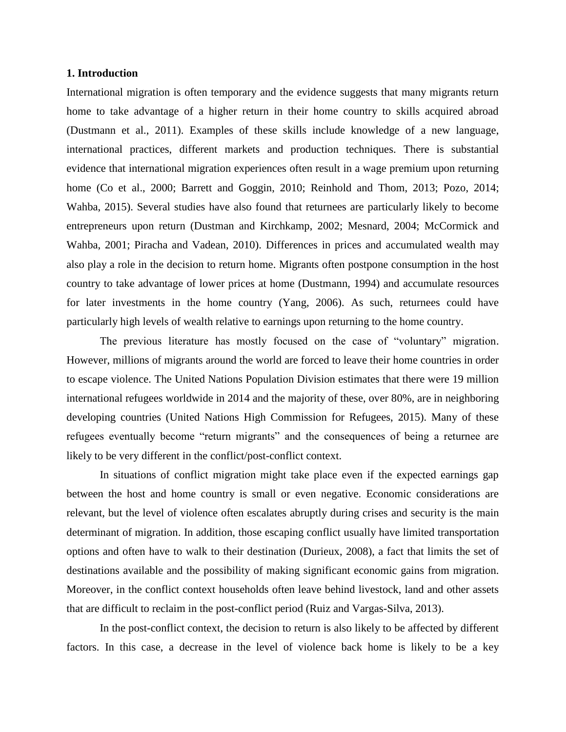## **1. Introduction**

International migration is often temporary and the evidence suggests that many migrants return home to take advantage of a higher return in their home country to skills acquired abroad (Dustmann et al., 2011). Examples of these skills include knowledge of a new language, international practices, different markets and production techniques. There is substantial evidence that international migration experiences often result in a wage premium upon returning home (Co et al., 2000; Barrett and Goggin, 2010; Reinhold and Thom, 2013; Pozo, 2014; Wahba, 2015). Several studies have also found that returnees are particularly likely to become entrepreneurs upon return (Dustman and Kirchkamp, 2002; Mesnard, 2004; McCormick and Wahba, 2001; Piracha and Vadean, 2010). Differences in prices and accumulated wealth may also play a role in the decision to return home. Migrants often postpone consumption in the host country to take advantage of lower prices at home (Dustmann, 1994) and accumulate resources for later investments in the home country (Yang, 2006). As such, returnees could have particularly high levels of wealth relative to earnings upon returning to the home country.

The previous literature has mostly focused on the case of "voluntary" migration. However, millions of migrants around the world are forced to leave their home countries in order to escape violence. The United Nations Population Division estimates that there were 19 million international refugees worldwide in 2014 and the majority of these, over 80%, are in neighboring developing countries (United Nations High Commission for Refugees, 2015). Many of these refugees eventually become "return migrants" and the consequences of being a returnee are likely to be very different in the conflict/post-conflict context.

In situations of conflict migration might take place even if the expected earnings gap between the host and home country is small or even negative. Economic considerations are relevant, but the level of violence often escalates abruptly during crises and security is the main determinant of migration. In addition, those escaping conflict usually have limited transportation options and often have to walk to their destination (Durieux, 2008), a fact that limits the set of destinations available and the possibility of making significant economic gains from migration. Moreover, in the conflict context households often leave behind livestock, land and other assets that are difficult to reclaim in the post-conflict period (Ruiz and Vargas-Silva, 2013).

In the post-conflict context, the decision to return is also likely to be affected by different factors. In this case, a decrease in the level of violence back home is likely to be a key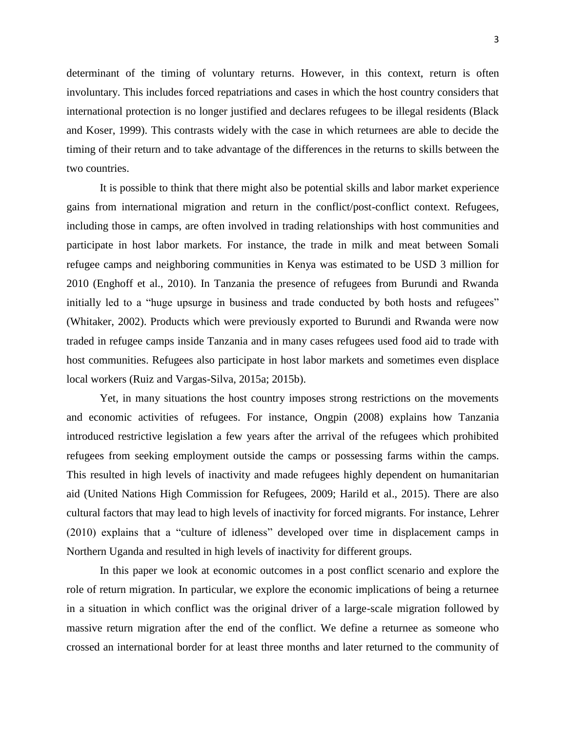determinant of the timing of voluntary returns. However, in this context, return is often involuntary. This includes forced repatriations and cases in which the host country considers that international protection is no longer justified and declares refugees to be illegal residents (Black and Koser, 1999). This contrasts widely with the case in which returnees are able to decide the timing of their return and to take advantage of the differences in the returns to skills between the two countries.

It is possible to think that there might also be potential skills and labor market experience gains from international migration and return in the conflict/post-conflict context. Refugees, including those in camps, are often involved in trading relationships with host communities and participate in host labor markets. For instance, the trade in milk and meat between Somali refugee camps and neighboring communities in Kenya was estimated to be USD 3 million for 2010 (Enghoff et al., 2010). In Tanzania the presence of refugees from Burundi and Rwanda initially led to a "huge upsurge in business and trade conducted by both hosts and refugees" (Whitaker, 2002). Products which were previously exported to Burundi and Rwanda were now traded in refugee camps inside Tanzania and in many cases refugees used food aid to trade with host communities. Refugees also participate in host labor markets and sometimes even displace local workers (Ruiz and Vargas-Silva, 2015a; 2015b).

Yet, in many situations the host country imposes strong restrictions on the movements and economic activities of refugees. For instance, Ongpin (2008) explains how Tanzania introduced restrictive legislation a few years after the arrival of the refugees which prohibited refugees from seeking employment outside the camps or possessing farms within the camps. This resulted in high levels of inactivity and made refugees highly dependent on humanitarian aid (United Nations High Commission for Refugees, 2009; Harild et al., 2015). There are also cultural factors that may lead to high levels of inactivity for forced migrants. For instance, Lehrer (2010) explains that a "culture of idleness" developed over time in displacement camps in Northern Uganda and resulted in high levels of inactivity for different groups.

In this paper we look at economic outcomes in a post conflict scenario and explore the role of return migration. In particular, we explore the economic implications of being a returnee in a situation in which conflict was the original driver of a large-scale migration followed by massive return migration after the end of the conflict. We define a returnee as someone who crossed an international border for at least three months and later returned to the community of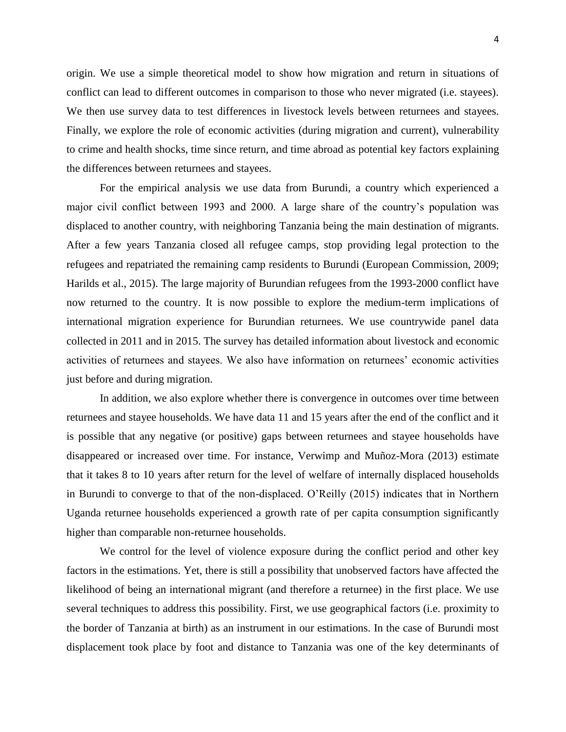origin. We use a simple theoretical model to show how migration and return in situations of conflict can lead to different outcomes in comparison to those who never migrated (i.e. stayees). We then use survey data to test differences in livestock levels between returnees and stayees. Finally, we explore the role of economic activities (during migration and current), vulnerability to crime and health shocks, time since return, and time abroad as potential key factors explaining the differences between returnees and stayees.

For the empirical analysis we use data from Burundi, a country which experienced a major civil conflict between 1993 and 2000. A large share of the country's population was displaced to another country, with neighboring Tanzania being the main destination of migrants. After a few years Tanzania closed all refugee camps, stop providing legal protection to the refugees and repatriated the remaining camp residents to Burundi (European Commission, 2009; Harilds et al., 2015). The large majority of Burundian refugees from the 1993-2000 conflict have now returned to the country. It is now possible to explore the medium-term implications of international migration experience for Burundian returnees. We use countrywide panel data collected in 2011 and in 2015. The survey has detailed information about livestock and economic activities of returnees and stayees. We also have information on returnees' economic activities just before and during migration.

In addition, we also explore whether there is convergence in outcomes over time between returnees and stayee households. We have data 11 and 15 years after the end of the conflict and it is possible that any negative (or positive) gaps between returnees and stayee households have disappeared or increased over time. For instance, Verwimp and Muñoz-Mora (2013) estimate that it takes 8 to 10 years after return for the level of welfare of internally displaced households in Burundi to converge to that of the non-displaced. O'Reilly (2015) indicates that in Northern Uganda returnee households experienced a growth rate of per capita consumption significantly higher than comparable non-returnee households.

We control for the level of violence exposure during the conflict period and other key factors in the estimations. Yet, there is still a possibility that unobserved factors have affected the likelihood of being an international migrant (and therefore a returnee) in the first place. We use several techniques to address this possibility. First, we use geographical factors (i.e. proximity to the border of Tanzania at birth) as an instrument in our estimations. In the case of Burundi most displacement took place by foot and distance to Tanzania was one of the key determinants of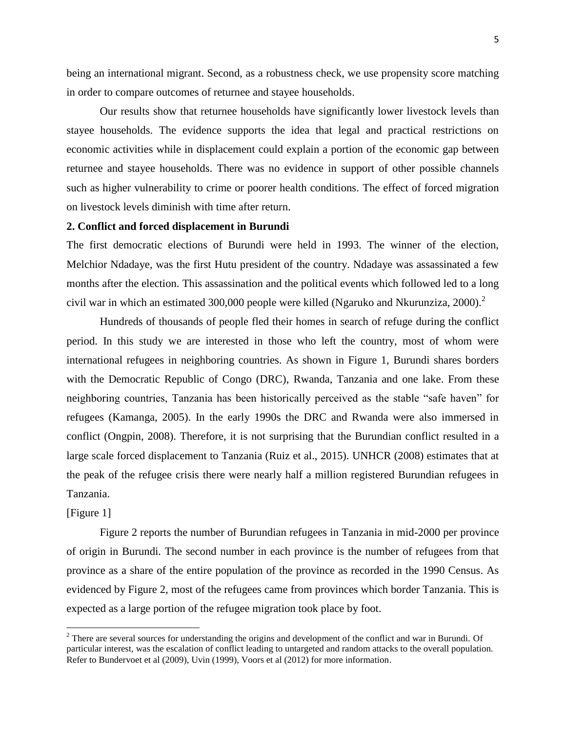being an international migrant. Second, as a robustness check, we use propensity score matching in order to compare outcomes of returnee and stayee households.

Our results show that returnee households have significantly lower livestock levels than stayee households. The evidence supports the idea that legal and practical restrictions on economic activities while in displacement could explain a portion of the economic gap between returnee and stayee households. There was no evidence in support of other possible channels such as higher vulnerability to crime or poorer health conditions. The effect of forced migration on livestock levels diminish with time after return.

## **2. Conflict and forced displacement in Burundi**

The first democratic elections of Burundi were held in 1993. The winner of the election, Melchior Ndadaye, was the first Hutu president of the country. Ndadaye was assassinated a few months after the election. This assassination and the political events which followed led to a long civil war in which an estimated 300,000 people were killed (Ngaruko and Nkurunziza, 2000).<sup>2</sup>

Hundreds of thousands of people fled their homes in search of refuge during the conflict period. In this study we are interested in those who left the country, most of whom were international refugees in neighboring countries. As shown in Figure 1, Burundi shares borders with the Democratic Republic of Congo (DRC), Rwanda, Tanzania and one lake. From these neighboring countries, Tanzania has been historically perceived as the stable "safe haven" for refugees (Kamanga, 2005). In the early 1990s the DRC and Rwanda were also immersed in conflict (Ongpin, 2008). Therefore, it is not surprising that the Burundian conflict resulted in a large scale forced displacement to Tanzania (Ruiz et al., 2015). UNHCR (2008) estimates that at the peak of the refugee crisis there were nearly half a million registered Burundian refugees in Tanzania.

## [Figure 1]

 $\overline{\phantom{a}}$ 

Figure 2 reports the number of Burundian refugees in Tanzania in mid-2000 per province of origin in Burundi. The second number in each province is the number of refugees from that province as a share of the entire population of the province as recorded in the 1990 Census. As evidenced by Figure 2, most of the refugees came from provinces which border Tanzania. This is expected as a large portion of the refugee migration took place by foot.

<sup>&</sup>lt;sup>2</sup> There are several sources for understanding the origins and development of the conflict and war in Burundi. Of particular interest, was the escalation of conflict leading to untargeted and random attacks to the overall population. Refer to Bundervoet et al (2009), Uvin (1999), Voors et al (2012) for more information.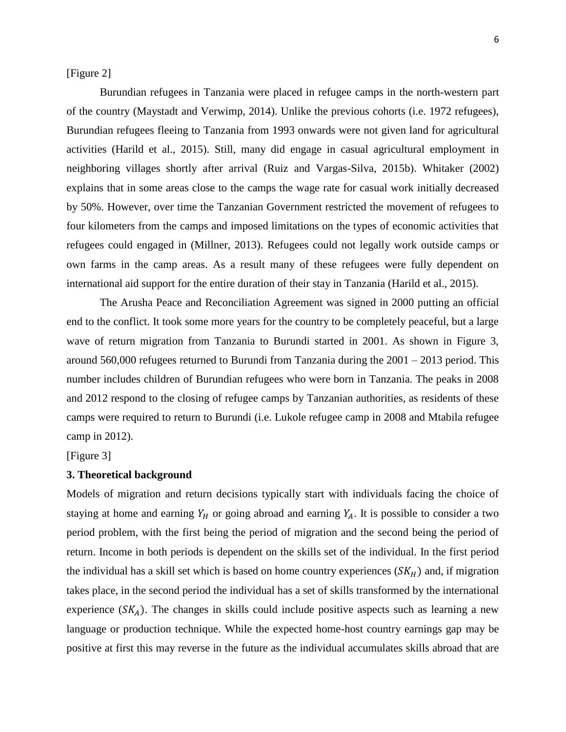[Figure 2]

Burundian refugees in Tanzania were placed in refugee camps in the north-western part of the country (Maystadt and Verwimp, 2014). Unlike the previous cohorts (i.e. 1972 refugees), Burundian refugees fleeing to Tanzania from 1993 onwards were not given land for agricultural activities (Harild et al., 2015). Still, many did engage in casual agricultural employment in neighboring villages shortly after arrival (Ruiz and Vargas-Silva, 2015b). Whitaker (2002) explains that in some areas close to the camps the wage rate for casual work initially decreased by 50%. However, over time the Tanzanian Government restricted the movement of refugees to four kilometers from the camps and imposed limitations on the types of economic activities that refugees could engaged in (Millner, 2013). Refugees could not legally work outside camps or own farms in the camp areas. As a result many of these refugees were fully dependent on international aid support for the entire duration of their stay in Tanzania (Harild et al., 2015).

The Arusha Peace and Reconciliation Agreement was signed in 2000 putting an official end to the conflict. It took some more years for the country to be completely peaceful, but a large wave of return migration from Tanzania to Burundi started in 2001. As shown in Figure 3, around 560,000 refugees returned to Burundi from Tanzania during the 2001 – 2013 period. This number includes children of Burundian refugees who were born in Tanzania. The peaks in 2008 and 2012 respond to the closing of refugee camps by Tanzanian authorities, as residents of these camps were required to return to Burundi (i.e. Lukole refugee camp in 2008 and Mtabila refugee camp in 2012).

[Figure 3]

# **3. Theoretical background**

Models of migration and return decisions typically start with individuals facing the choice of staying at home and earning  $Y_H$  or going abroad and earning  $Y_A$ . It is possible to consider a two period problem, with the first being the period of migration and the second being the period of return. Income in both periods is dependent on the skills set of the individual. In the first period the individual has a skill set which is based on home country experiences  $(SK_H)$  and, if migration takes place, in the second period the individual has a set of skills transformed by the international experience  $(SK_A)$ . The changes in skills could include positive aspects such as learning a new language or production technique. While the expected home-host country earnings gap may be positive at first this may reverse in the future as the individual accumulates skills abroad that are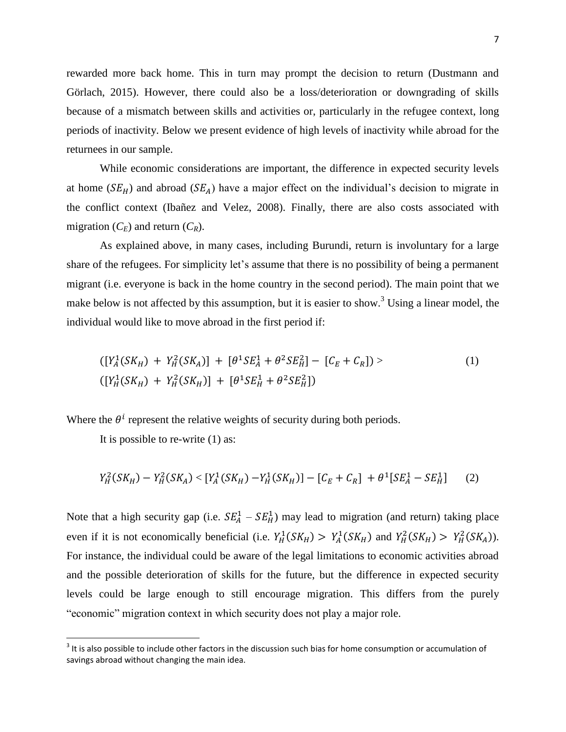rewarded more back home. This in turn may prompt the decision to return (Dustmann and Görlach, 2015). However, there could also be a loss/deterioration or downgrading of skills because of a mismatch between skills and activities or, particularly in the refugee context, long periods of inactivity. Below we present evidence of high levels of inactivity while abroad for the returnees in our sample.

While economic considerations are important, the difference in expected security levels at home  $(SE_H)$  and abroad  $(SE_A)$  have a major effect on the individual's decision to migrate in the conflict context (Ibañez and Velez, 2008). Finally, there are also costs associated with migration  $(C_F)$  and return  $(C_R)$ .

As explained above, in many cases, including Burundi, return is involuntary for a large share of the refugees. For simplicity let's assume that there is no possibility of being a permanent migrant (i.e. everyone is back in the home country in the second period). The main point that we make below is not affected by this assumption, but it is easier to show.<sup>3</sup> Using a linear model, the individual would like to move abroad in the first period if:

$$
([Y_A^1(SK_H) + Y_H^2(SK_A)] + [\theta^1 SE_A^1 + \theta^2 SE_H^2] - [C_E + C_R]) >
$$
\n
$$
([Y_H^1(SK_H) + Y_H^2(SK_H)] + [\theta^1 SE_H^1 + \theta^2 SE_H^2])
$$
\n(1)

Where the  $\theta^i$  represent the relative weights of security during both periods.

It is possible to re-write (1) as:

l

$$
Y_H^2(SK_H) - Y_H^2(SK_A) < [Y_A^1(SK_H) - Y_H^1(SK_H)] - [C_E + C_R] + \theta^1[SE_A^1 - SE_H^1] \tag{2}
$$

Note that a high security gap (i.e.  $SE_A^1 - SE_B^1$ ) may lead to migration (and return) taking place even if it is not economically beneficial (i.e.  $Y_H^1(SK_H) > Y_A^1(SK_H)$  and  $Y_H^2(SK_H) > Y_H^2(SK_A)$ ). For instance, the individual could be aware of the legal limitations to economic activities abroad and the possible deterioration of skills for the future, but the difference in expected security levels could be large enough to still encourage migration. This differs from the purely "economic" migration context in which security does not play a major role.

 $3$  It is also possible to include other factors in the discussion such bias for home consumption or accumulation of savings abroad without changing the main idea.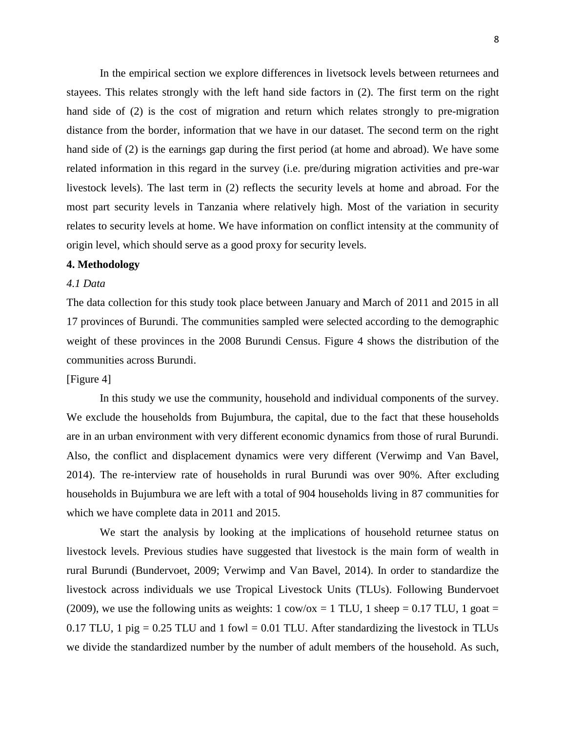In the empirical section we explore differences in livetsock levels between returnees and stayees. This relates strongly with the left hand side factors in (2). The first term on the right hand side of (2) is the cost of migration and return which relates strongly to pre-migration distance from the border, information that we have in our dataset. The second term on the right hand side of (2) is the earnings gap during the first period (at home and abroad). We have some related information in this regard in the survey (i.e. pre/during migration activities and pre-war livestock levels). The last term in (2) reflects the security levels at home and abroad. For the most part security levels in Tanzania where relatively high. Most of the variation in security relates to security levels at home. We have information on conflict intensity at the community of origin level, which should serve as a good proxy for security levels.

# **4. Methodology**

#### *4.1 Data*

The data collection for this study took place between January and March of 2011 and 2015 in all 17 provinces of Burundi. The communities sampled were selected according to the demographic weight of these provinces in the 2008 Burundi Census. Figure 4 shows the distribution of the communities across Burundi.

# [Figure 4]

In this study we use the community, household and individual components of the survey. We exclude the households from Bujumbura, the capital, due to the fact that these households are in an urban environment with very different economic dynamics from those of rural Burundi. Also, the conflict and displacement dynamics were very different (Verwimp and Van Bavel, 2014). The re-interview rate of households in rural Burundi was over 90%. After excluding households in Bujumbura we are left with a total of 904 households living in 87 communities for which we have complete data in 2011 and 2015.

We start the analysis by looking at the implications of household returnee status on livestock levels. Previous studies have suggested that livestock is the main form of wealth in rural Burundi (Bundervoet, 2009; Verwimp and Van Bavel, 2014). In order to standardize the livestock across individuals we use Tropical Livestock Units (TLUs). Following Bundervoet (2009), we use the following units as weights:  $1 \text{ cow/ox} = 1 \text{ TLU}$ ,  $1 \text{ sheep} = 0.17 \text{ TLU}$ ,  $1 \text{ goat} =$ 0.17 TLU, 1 pig = 0.25 TLU and 1 fowl = 0.01 TLU. After standardizing the livestock in TLUs we divide the standardized number by the number of adult members of the household. As such,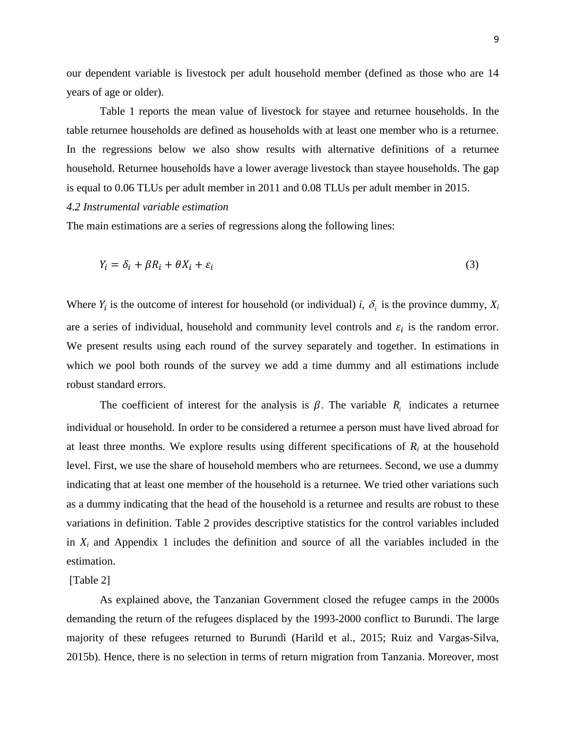our dependent variable is livestock per adult household member (defined as those who are 14 years of age or older).

Table 1 reports the mean value of livestock for stayee and returnee households. In the table returnee households are defined as households with at least one member who is a returnee. In the regressions below we also show results with alternative definitions of a returnee household. Returnee households have a lower average livestock than stayee households. The gap is equal to 0.06 TLUs per adult member in 2011 and 0.08 TLUs per adult member in 2015.

#### *4.2 Instrumental variable estimation*

The main estimations are a series of regressions along the following lines:

$$
Y_i = \delta_i + \beta R_i + \theta X_i + \varepsilon_i \tag{3}
$$

Where  $Y_i$  is the outcome of interest for household (or individual) *i*,  $\delta_i$  is the province dummy,  $X_i$ are a series of individual, household and community level controls and  $\varepsilon_i$  is the random error. We present results using each round of the survey separately and together. In estimations in which we pool both rounds of the survey we add a time dummy and all estimations include robust standard errors.

The coefficient of interest for the analysis is  $\beta$ . The variable  $R_i$  indicates a returnee individual or household. In order to be considered a returnee a person must have lived abroad for at least three months. We explore results using different specifications of  $R_i$  at the household level. First, we use the share of household members who are returnees. Second, we use a dummy indicating that at least one member of the household is a returnee. We tried other variations such as a dummy indicating that the head of the household is a returnee and results are robust to these variations in definition. Table 2 provides descriptive statistics for the control variables included in  $X_i$  and Appendix 1 includes the definition and source of all the variables included in the estimation.

#### [Table 2]

As explained above, the Tanzanian Government closed the refugee camps in the 2000s demanding the return of the refugees displaced by the 1993-2000 conflict to Burundi. The large majority of these refugees returned to Burundi (Harild et al., 2015; Ruiz and Vargas-Silva, 2015b). Hence, there is no selection in terms of return migration from Tanzania. Moreover, most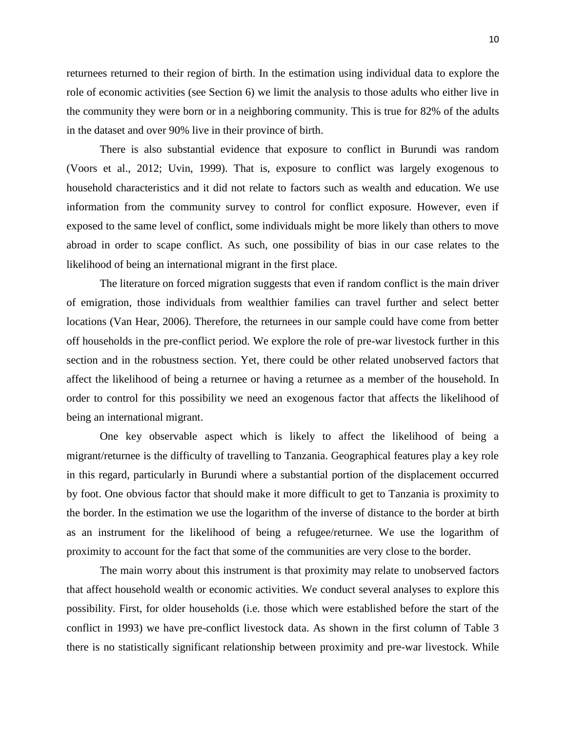returnees returned to their region of birth. In the estimation using individual data to explore the role of economic activities (see Section 6) we limit the analysis to those adults who either live in the community they were born or in a neighboring community. This is true for 82% of the adults in the dataset and over 90% live in their province of birth.

There is also substantial evidence that exposure to conflict in Burundi was random (Voors et al., 2012; Uvin, 1999). That is, exposure to conflict was largely exogenous to household characteristics and it did not relate to factors such as wealth and education. We use information from the community survey to control for conflict exposure. However, even if exposed to the same level of conflict, some individuals might be more likely than others to move abroad in order to scape conflict. As such, one possibility of bias in our case relates to the likelihood of being an international migrant in the first place.

The literature on forced migration suggests that even if random conflict is the main driver of emigration, those individuals from wealthier families can travel further and select better locations (Van Hear, 2006). Therefore, the returnees in our sample could have come from better off households in the pre-conflict period. We explore the role of pre-war livestock further in this section and in the robustness section. Yet, there could be other related unobserved factors that affect the likelihood of being a returnee or having a returnee as a member of the household. In order to control for this possibility we need an exogenous factor that affects the likelihood of being an international migrant.

One key observable aspect which is likely to affect the likelihood of being a migrant/returnee is the difficulty of travelling to Tanzania. Geographical features play a key role in this regard, particularly in Burundi where a substantial portion of the displacement occurred by foot. One obvious factor that should make it more difficult to get to Tanzania is proximity to the border. In the estimation we use the logarithm of the inverse of distance to the border at birth as an instrument for the likelihood of being a refugee/returnee. We use the logarithm of proximity to account for the fact that some of the communities are very close to the border.

The main worry about this instrument is that proximity may relate to unobserved factors that affect household wealth or economic activities. We conduct several analyses to explore this possibility. First, for older households (i.e. those which were established before the start of the conflict in 1993) we have pre-conflict livestock data. As shown in the first column of Table 3 there is no statistically significant relationship between proximity and pre-war livestock. While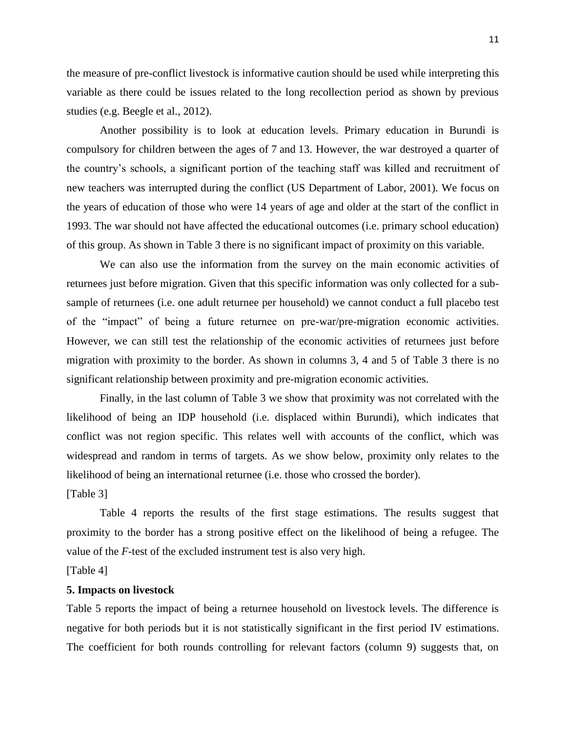the measure of pre-conflict livestock is informative caution should be used while interpreting this variable as there could be issues related to the long recollection period as shown by previous studies (e.g. Beegle et al., 2012).

Another possibility is to look at education levels. Primary education in Burundi is compulsory for children between the ages of 7 and 13. However, the war destroyed a quarter of the country's schools, a significant portion of the teaching staff was killed and recruitment of new teachers was interrupted during the conflict (US Department of Labor, 2001). We focus on the years of education of those who were 14 years of age and older at the start of the conflict in 1993. The war should not have affected the educational outcomes (i.e. primary school education) of this group. As shown in Table 3 there is no significant impact of proximity on this variable.

We can also use the information from the survey on the main economic activities of returnees just before migration. Given that this specific information was only collected for a subsample of returnees (i.e. one adult returnee per household) we cannot conduct a full placebo test of the "impact" of being a future returnee on pre-war/pre-migration economic activities. However, we can still test the relationship of the economic activities of returnees just before migration with proximity to the border. As shown in columns 3, 4 and 5 of Table 3 there is no significant relationship between proximity and pre-migration economic activities.

Finally, in the last column of Table 3 we show that proximity was not correlated with the likelihood of being an IDP household (i.e. displaced within Burundi), which indicates that conflict was not region specific. This relates well with accounts of the conflict, which was widespread and random in terms of targets. As we show below, proximity only relates to the likelihood of being an international returnee (i.e. those who crossed the border).

[Table 3]

Table 4 reports the results of the first stage estimations. The results suggest that proximity to the border has a strong positive effect on the likelihood of being a refugee. The value of the *F*-test of the excluded instrument test is also very high.

[Table 4]

# **5. Impacts on livestock**

Table 5 reports the impact of being a returnee household on livestock levels. The difference is negative for both periods but it is not statistically significant in the first period IV estimations. The coefficient for both rounds controlling for relevant factors (column 9) suggests that, on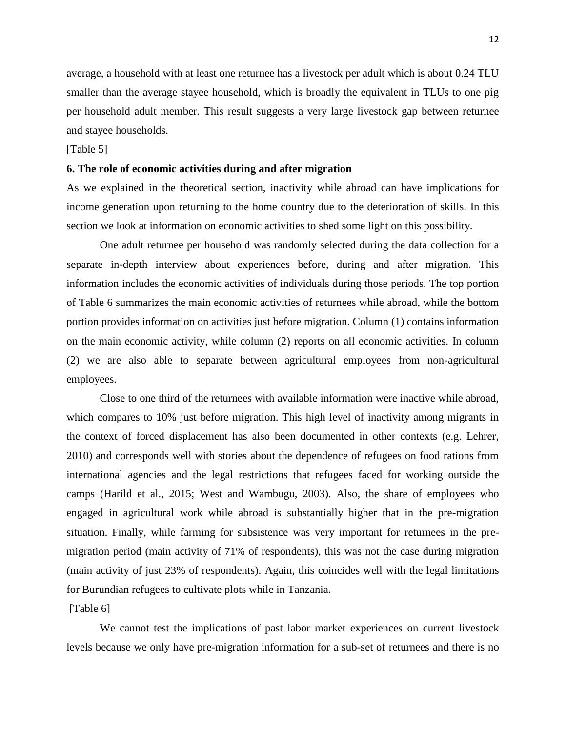average, a household with at least one returnee has a livestock per adult which is about 0.24 TLU smaller than the average stayee household, which is broadly the equivalent in TLUs to one pig per household adult member. This result suggests a very large livestock gap between returnee and stayee households.

### [Table 5]

## **6. The role of economic activities during and after migration**

As we explained in the theoretical section, inactivity while abroad can have implications for income generation upon returning to the home country due to the deterioration of skills. In this section we look at information on economic activities to shed some light on this possibility.

One adult returnee per household was randomly selected during the data collection for a separate in-depth interview about experiences before, during and after migration. This information includes the economic activities of individuals during those periods. The top portion of Table 6 summarizes the main economic activities of returnees while abroad, while the bottom portion provides information on activities just before migration. Column (1) contains information on the main economic activity, while column (2) reports on all economic activities. In column (2) we are also able to separate between agricultural employees from non-agricultural employees.

Close to one third of the returnees with available information were inactive while abroad, which compares to 10% just before migration. This high level of inactivity among migrants in the context of forced displacement has also been documented in other contexts (e.g. Lehrer, 2010) and corresponds well with stories about the dependence of refugees on food rations from international agencies and the legal restrictions that refugees faced for working outside the camps (Harild et al., 2015; West and Wambugu, 2003). Also, the share of employees who engaged in agricultural work while abroad is substantially higher that in the pre-migration situation. Finally, while farming for subsistence was very important for returnees in the premigration period (main activity of 71% of respondents), this was not the case during migration (main activity of just 23% of respondents). Again, this coincides well with the legal limitations for Burundian refugees to cultivate plots while in Tanzania.

#### [Table 6]

We cannot test the implications of past labor market experiences on current livestock levels because we only have pre-migration information for a sub-set of returnees and there is no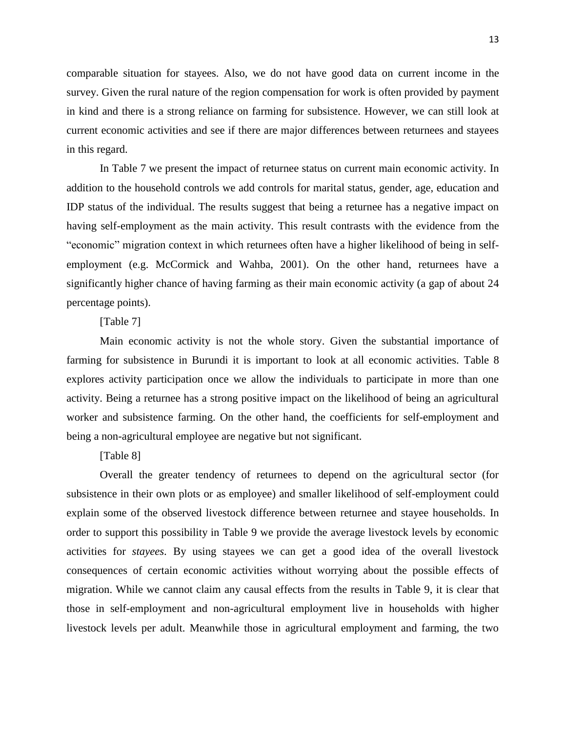comparable situation for stayees. Also, we do not have good data on current income in the survey. Given the rural nature of the region compensation for work is often provided by payment in kind and there is a strong reliance on farming for subsistence. However, we can still look at current economic activities and see if there are major differences between returnees and stayees in this regard.

In Table 7 we present the impact of returnee status on current main economic activity. In addition to the household controls we add controls for marital status, gender, age, education and IDP status of the individual. The results suggest that being a returnee has a negative impact on having self-employment as the main activity. This result contrasts with the evidence from the "economic" migration context in which returnees often have a higher likelihood of being in selfemployment (e.g. McCormick and Wahba, 2001). On the other hand, returnees have a significantly higher chance of having farming as their main economic activity (a gap of about 24 percentage points).

### [Table 7]

Main economic activity is not the whole story. Given the substantial importance of farming for subsistence in Burundi it is important to look at all economic activities. Table 8 explores activity participation once we allow the individuals to participate in more than one activity. Being a returnee has a strong positive impact on the likelihood of being an agricultural worker and subsistence farming. On the other hand, the coefficients for self-employment and being a non-agricultural employee are negative but not significant.

# [Table 8]

Overall the greater tendency of returnees to depend on the agricultural sector (for subsistence in their own plots or as employee) and smaller likelihood of self-employment could explain some of the observed livestock difference between returnee and stayee households. In order to support this possibility in Table 9 we provide the average livestock levels by economic activities for *stayees*. By using stayees we can get a good idea of the overall livestock consequences of certain economic activities without worrying about the possible effects of migration. While we cannot claim any causal effects from the results in Table 9, it is clear that those in self-employment and non-agricultural employment live in households with higher livestock levels per adult. Meanwhile those in agricultural employment and farming, the two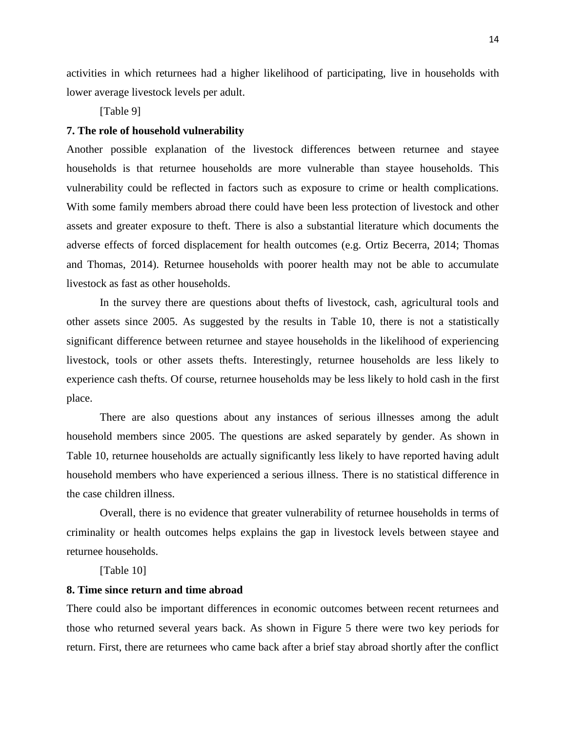activities in which returnees had a higher likelihood of participating, live in households with lower average livestock levels per adult.

[Table 9]

#### **7. The role of household vulnerability**

Another possible explanation of the livestock differences between returnee and stayee households is that returnee households are more vulnerable than stayee households. This vulnerability could be reflected in factors such as exposure to crime or health complications. With some family members abroad there could have been less protection of livestock and other assets and greater exposure to theft. There is also a substantial literature which documents the adverse effects of forced displacement for health outcomes (e.g. Ortiz Becerra, 2014; Thomas and Thomas, 2014). Returnee households with poorer health may not be able to accumulate livestock as fast as other households.

In the survey there are questions about thefts of livestock, cash, agricultural tools and other assets since 2005. As suggested by the results in Table 10, there is not a statistically significant difference between returnee and stayee households in the likelihood of experiencing livestock, tools or other assets thefts. Interestingly, returnee households are less likely to experience cash thefts. Of course, returnee households may be less likely to hold cash in the first place.

There are also questions about any instances of serious illnesses among the adult household members since 2005. The questions are asked separately by gender. As shown in Table 10, returnee households are actually significantly less likely to have reported having adult household members who have experienced a serious illness. There is no statistical difference in the case children illness.

Overall, there is no evidence that greater vulnerability of returnee households in terms of criminality or health outcomes helps explains the gap in livestock levels between stayee and returnee households.

[Table 10]

# **8. Time since return and time abroad**

There could also be important differences in economic outcomes between recent returnees and those who returned several years back. As shown in Figure 5 there were two key periods for return. First, there are returnees who came back after a brief stay abroad shortly after the conflict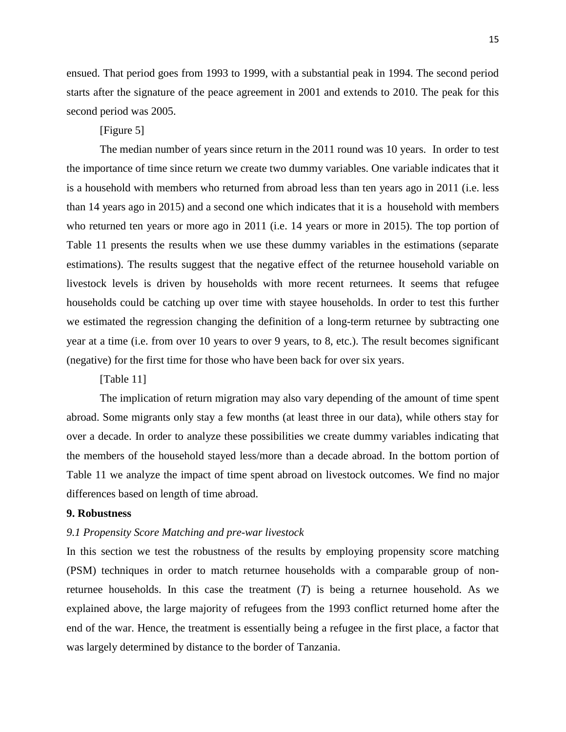ensued. That period goes from 1993 to 1999, with a substantial peak in 1994. The second period starts after the signature of the peace agreement in 2001 and extends to 2010. The peak for this second period was 2005.

## [Figure 5]

The median number of years since return in the 2011 round was 10 years. In order to test the importance of time since return we create two dummy variables. One variable indicates that it is a household with members who returned from abroad less than ten years ago in 2011 (i.e. less than 14 years ago in 2015) and a second one which indicates that it is a household with members who returned ten years or more ago in 2011 (i.e. 14 years or more in 2015). The top portion of Table 11 presents the results when we use these dummy variables in the estimations (separate estimations). The results suggest that the negative effect of the returnee household variable on livestock levels is driven by households with more recent returnees. It seems that refugee households could be catching up over time with stayee households. In order to test this further we estimated the regression changing the definition of a long-term returnee by subtracting one year at a time (i.e. from over 10 years to over 9 years, to 8, etc.). The result becomes significant (negative) for the first time for those who have been back for over six years.

[Table 11]

The implication of return migration may also vary depending of the amount of time spent abroad. Some migrants only stay a few months (at least three in our data), while others stay for over a decade. In order to analyze these possibilities we create dummy variables indicating that the members of the household stayed less/more than a decade abroad. In the bottom portion of Table 11 we analyze the impact of time spent abroad on livestock outcomes. We find no major differences based on length of time abroad.

# **9. Robustness**

#### *9.1 Propensity Score Matching and pre-war livestock*

In this section we test the robustness of the results by employing propensity score matching (PSM) techniques in order to match returnee households with a comparable group of nonreturnee households. In this case the treatment (*T*) is being a returnee household. As we explained above, the large majority of refugees from the 1993 conflict returned home after the end of the war. Hence, the treatment is essentially being a refugee in the first place, a factor that was largely determined by distance to the border of Tanzania.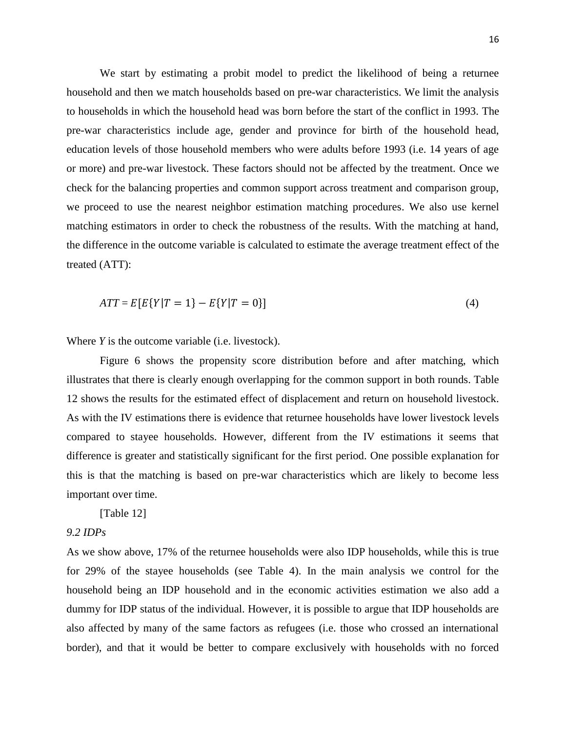We start by estimating a probit model to predict the likelihood of being a returnee household and then we match households based on pre-war characteristics. We limit the analysis to households in which the household head was born before the start of the conflict in 1993. The pre-war characteristics include age, gender and province for birth of the household head, education levels of those household members who were adults before 1993 (i.e. 14 years of age or more) and pre-war livestock. These factors should not be affected by the treatment. Once we check for the balancing properties and common support across treatment and comparison group, we proceed to use the nearest neighbor estimation matching procedures. We also use kernel matching estimators in order to check the robustness of the results. With the matching at hand, the difference in the outcome variable is calculated to estimate the average treatment effect of the treated (ATT):

$$
ATT = E[E\{Y|T = 1\} - E\{Y|T = 0\}]
$$
\n(4)

Where *Y* is the outcome variable (i.e. livestock).

Figure 6 shows the propensity score distribution before and after matching, which illustrates that there is clearly enough overlapping for the common support in both rounds. Table 12 shows the results for the estimated effect of displacement and return on household livestock. As with the IV estimations there is evidence that returnee households have lower livestock levels compared to stayee households. However, different from the IV estimations it seems that difference is greater and statistically significant for the first period. One possible explanation for this is that the matching is based on pre-war characteristics which are likely to become less important over time.

[Table 12]

# *9.2 IDPs*

As we show above, 17% of the returnee households were also IDP households, while this is true for 29% of the stayee households (see Table 4). In the main analysis we control for the household being an IDP household and in the economic activities estimation we also add a dummy for IDP status of the individual. However, it is possible to argue that IDP households are also affected by many of the same factors as refugees (i.e. those who crossed an international border), and that it would be better to compare exclusively with households with no forced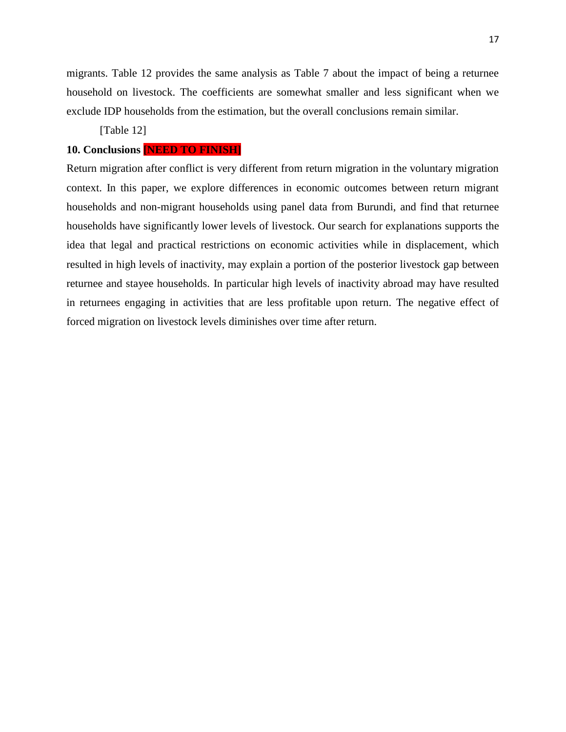migrants. Table 12 provides the same analysis as Table 7 about the impact of being a returnee household on livestock. The coefficients are somewhat smaller and less significant when we exclude IDP households from the estimation, but the overall conclusions remain similar.

[Table 12]

# **10. Conclusions [NEED TO FINISH]**

Return migration after conflict is very different from return migration in the voluntary migration context. In this paper, we explore differences in economic outcomes between return migrant households and non-migrant households using panel data from Burundi, and find that returnee households have significantly lower levels of livestock. Our search for explanations supports the idea that legal and practical restrictions on economic activities while in displacement, which resulted in high levels of inactivity, may explain a portion of the posterior livestock gap between returnee and stayee households. In particular high levels of inactivity abroad may have resulted in returnees engaging in activities that are less profitable upon return. The negative effect of forced migration on livestock levels diminishes over time after return.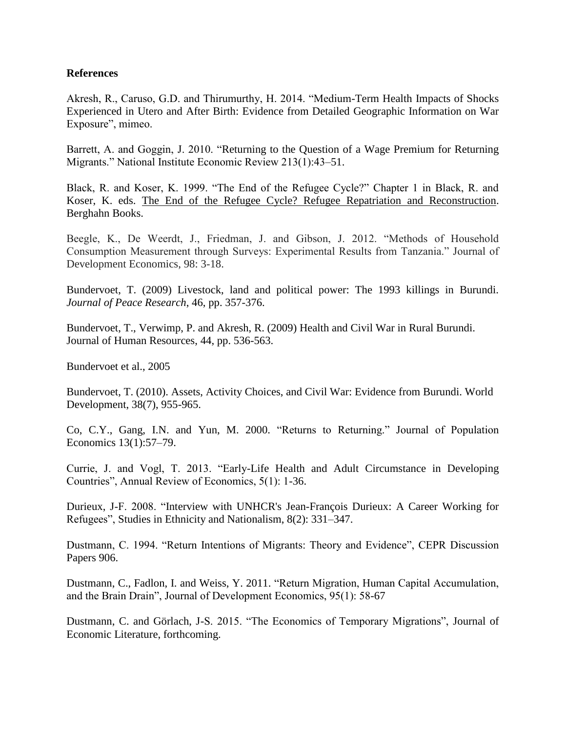# **References**

Akresh, R., Caruso, G.D. and Thirumurthy, H. 2014. "Medium-Term Health Impacts of Shocks Experienced in Utero and After Birth: Evidence from Detailed Geographic Information on War Exposure", mimeo.

Barrett, A. and Goggin, J. 2010. "Returning to the Question of a Wage Premium for Returning Migrants." National Institute Economic Review 213(1):43–51.

Black, R. and Koser, K. 1999. "The End of the Refugee Cycle?" Chapter 1 in Black, R. and Koser, K. eds. The End of the Refugee Cycle? Refugee Repatriation and Reconstruction. Berghahn Books.

Beegle, K., De Weerdt, J., Friedman, J. and Gibson, J. 2012. "Methods of Household Consumption Measurement through Surveys: Experimental Results from Tanzania." Journal of Development Economics, 98: 3-18.

Bundervoet, T. (2009) Livestock, land and political power: The 1993 killings in Burundi. *Journal of Peace Research*, 46, pp. 357-376.

Bundervoet, T., Verwimp, P. and Akresh, R. (2009) Health and Civil War in Rural Burundi. Journal of Human Resources, 44, pp. 536-563.

Bundervoet et al., 2005

Bundervoet, T. (2010). Assets, Activity Choices, and Civil War: Evidence from Burundi. World Development, 38(7), 955-965.

Co, C.Y., Gang, I.N. and Yun, M. 2000. "Returns to Returning." Journal of Population Economics 13(1):57–79.

Currie, J. and Vogl, T. 2013. "Early-Life Health and Adult Circumstance in Developing Countries", Annual Review of Economics, 5(1): 1-36.

Durieux, J-F. 2008. "Interview with UNHCR's Jean-François Durieux: A Career Working for Refugees", Studies in Ethnicity and Nationalism, 8(2): 331–347.

Dustmann, C. 1994. "Return Intentions of Migrants: Theory and Evidence", CEPR Discussion Papers 906.

Dustmann, C., Fadlon, I. and Weiss, Y. 2011. "Return Migration, Human Capital Accumulation, and the Brain Drain", Journal of Development Economics, 95(1): 58-67

Dustmann, C. and Görlach, J-S. 2015. "The Economics of Temporary Migrations", Journal of Economic Literature, forthcoming.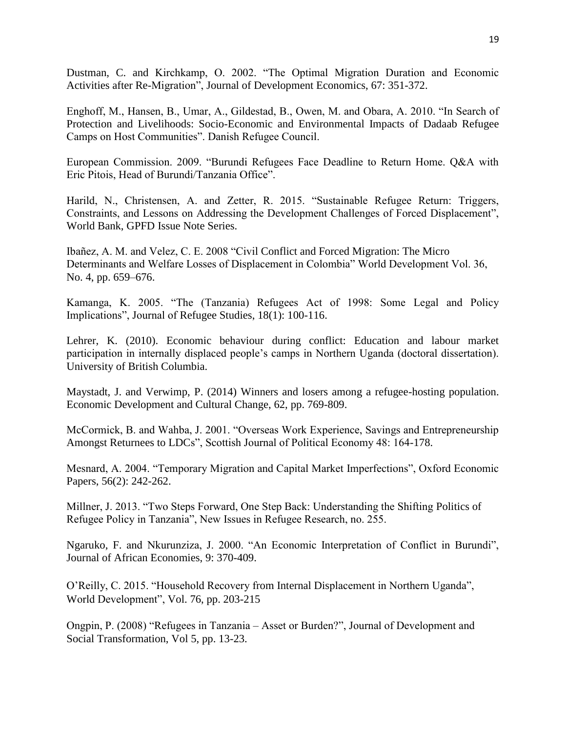Dustman, C. and Kirchkamp, O. 2002. "The Optimal Migration Duration and Economic Activities after Re-Migration", Journal of Development Economics, 67: 351-372.

Enghoff, M., Hansen, B., Umar, A., Gildestad, B., Owen, M. and Obara, A. 2010. "In Search of Protection and Livelihoods: Socio-Economic and Environmental Impacts of Dadaab Refugee Camps on Host Communities". Danish Refugee Council.

European Commission. 2009. "Burundi Refugees Face Deadline to Return Home. Q&A with Eric Pitois, Head of Burundi/Tanzania Office".

Harild, N., Christensen, A. and Zetter, R. 2015. "Sustainable Refugee Return: Triggers, Constraints, and Lessons on Addressing the Development Challenges of Forced Displacement", World Bank, GPFD Issue Note Series.

Ibañez, A. M. and Velez, C. E. 2008 "Civil Conflict and Forced Migration: The Micro Determinants and Welfare Losses of Displacement in Colombia" World Development Vol. 36, No. 4, pp. 659–676.

Kamanga, K. 2005. "The (Tanzania) Refugees Act of 1998: Some Legal and Policy Implications", Journal of Refugee Studies, 18(1): 100-116.

Lehrer, K. (2010). Economic behaviour during conflict: Education and labour market participation in internally displaced people's camps in Northern Uganda (doctoral dissertation). University of British Columbia.

Maystadt, J. and Verwimp, P. (2014) Winners and losers among a refugee-hosting population. Economic Development and Cultural Change, 62, pp. 769-809.

McCormick, B. and Wahba, J. 2001. "Overseas Work Experience, Savings and Entrepreneurship Amongst Returnees to LDCs", Scottish Journal of Political Economy 48: 164-178.

Mesnard, A. 2004. "Temporary Migration and Capital Market Imperfections", Oxford Economic Papers, 56(2): 242-262.

Millner, J. 2013. "Two Steps Forward, One Step Back: Understanding the Shifting Politics of Refugee Policy in Tanzania", New Issues in Refugee Research, no. 255.

Ngaruko, F. and Nkurunziza, J. 2000. "An Economic Interpretation of Conflict in Burundi", Journal of African Economies, 9: 370-409.

O'Reilly, C. 2015. "Household Recovery from Internal Displacement in Northern Uganda", World Development", Vol. 76, pp. 203-215

Ongpin, P. (2008) "Refugees in Tanzania – Asset or Burden?", Journal of Development and Social Transformation, Vol 5, pp. 13-23.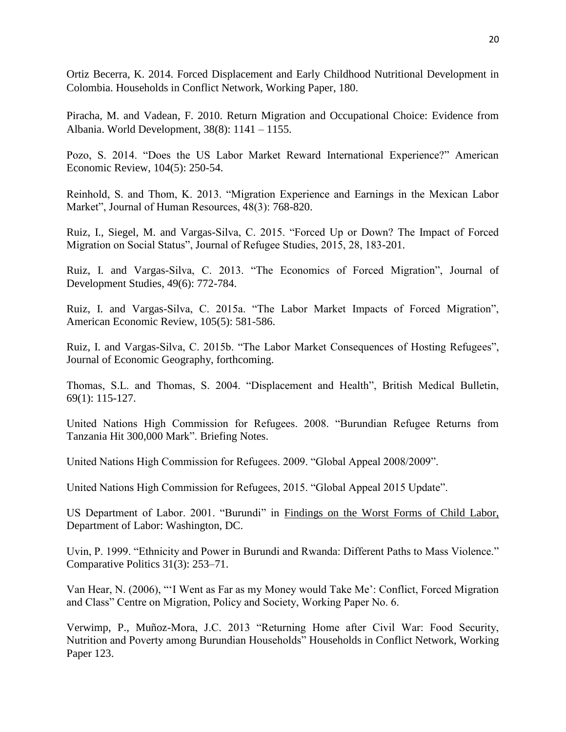Ortiz Becerra, K. 2014. Forced Displacement and Early Childhood Nutritional Development in Colombia. Households in Conflict Network, Working Paper, 180.

Piracha, M. and Vadean, F. 2010. Return Migration and Occupational Choice: Evidence from Albania. World Development, 38(8): 1141 – 1155.

Pozo, S. 2014. "Does the US Labor Market Reward International Experience?" American Economic Review, 104(5): 250-54.

Reinhold, S. and Thom, K. 2013. "Migration Experience and Earnings in the Mexican Labor Market", Journal of Human Resources, 48(3): 768-820.

Ruiz, I., Siegel, M. and Vargas-Silva, C. 2015. "Forced Up or Down? The Impact of Forced Migration on Social Status", Journal of Refugee Studies, 2015, 28, 183-201.

Ruiz, I. and Vargas-Silva, C. 2013. "The Economics of Forced Migration", Journal of Development Studies, 49(6): 772-784.

Ruiz, I. and Vargas-Silva, C. 2015a. "The Labor Market Impacts of Forced Migration", American Economic Review, 105(5): 581-586.

Ruiz, I. and Vargas-Silva, C. 2015b. "The Labor Market Consequences of Hosting Refugees", Journal of Economic Geography, forthcoming.

Thomas, S.L. and Thomas, S. 2004. "Displacement and Health", British Medical Bulletin, 69(1): 115-127.

United Nations High Commission for Refugees. 2008. "Burundian Refugee Returns from Tanzania Hit 300,000 Mark". Briefing Notes.

United Nations High Commission for Refugees. 2009. "Global Appeal 2008/2009".

United Nations High Commission for Refugees, 2015. "Global Appeal 2015 Update".

US Department of Labor. 2001. "Burundi" in Findings on the Worst Forms of Child Labor, Department of Labor: Washington, DC.

Uvin, P. 1999. "Ethnicity and Power in Burundi and Rwanda: Different Paths to Mass Violence." Comparative Politics 31(3): 253–71.

Van Hear, N. (2006), "'I Went as Far as my Money would Take Me': Conflict, Forced Migration and Class" Centre on Migration, Policy and Society, Working Paper No. 6.

Verwimp, P., Muñoz-Mora, J.C. 2013 "Returning Home after Civil War: Food Security, Nutrition and Poverty among Burundian Households" Households in Conflict Network, Working Paper 123.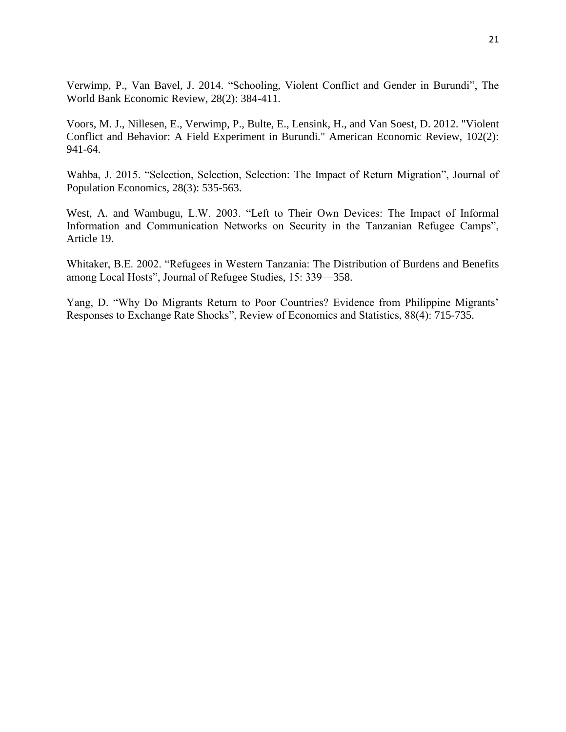Verwimp, P., Van Bavel, J. 2014. "Schooling, Violent Conflict and Gender in Burundi", The World Bank Economic Review, 28(2): 384-411.

Voors, M. J., Nillesen, E., Verwimp, P., Bulte, E., Lensink, H., and Van Soest, D. 2012. "Violent Conflict and Behavior: A Field Experiment in Burundi." American Economic Review, 102(2): 941-64.

Wahba, J. 2015. "Selection, Selection, Selection: The Impact of Return Migration", Journal of Population Economics, 28(3): 535-563.

West, A. and Wambugu, L.W. 2003. "Left to Their Own Devices: The Impact of Informal Information and Communication Networks on Security in the Tanzanian Refugee Camps", Article 19.

Whitaker, B.E. 2002. "Refugees in Western Tanzania: The Distribution of Burdens and Benefits among Local Hosts", Journal of Refugee Studies, 15: 339—358.

Yang, D. "Why Do Migrants Return to Poor Countries? Evidence from Philippine Migrants' Responses to Exchange Rate Shocks", Review of Economics and Statistics, 88(4): 715-735.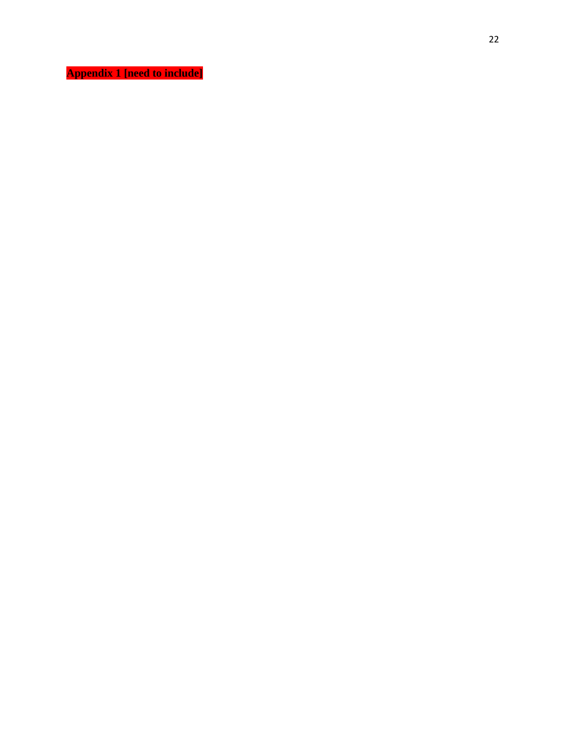**Appendix 1 [need to include]**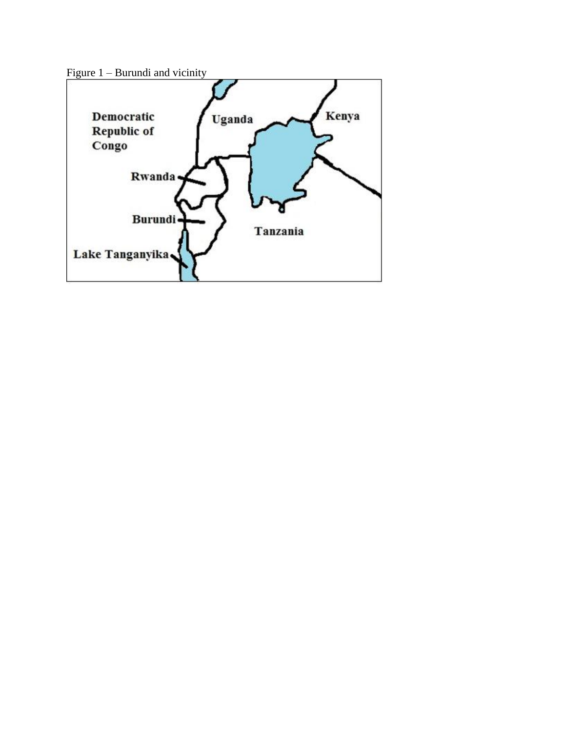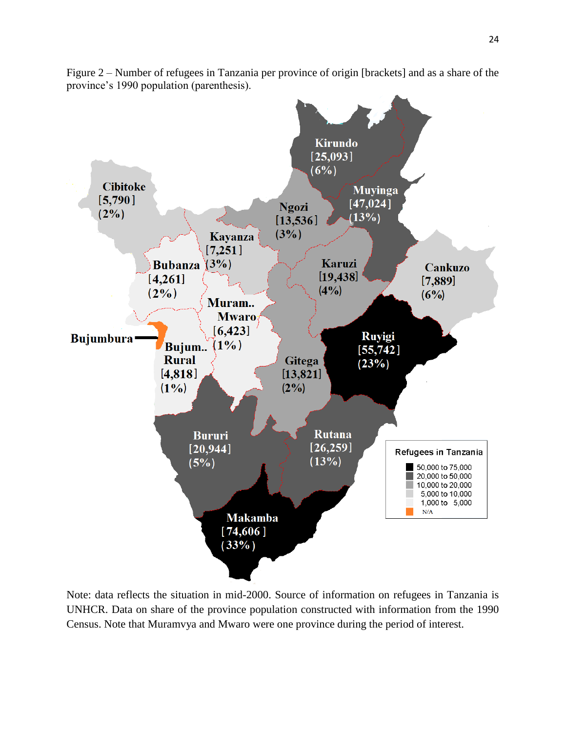

Figure 2 – Number of refugees in Tanzania per province of origin [brackets] and as a share of the province's 1990 population (parenthesis).

Note: data reflects the situation in mid-2000. Source of information on refugees in Tanzania is UNHCR. Data on share of the province population constructed with information from the 1990 Census. Note that Muramvya and Mwaro were one province during the period of interest.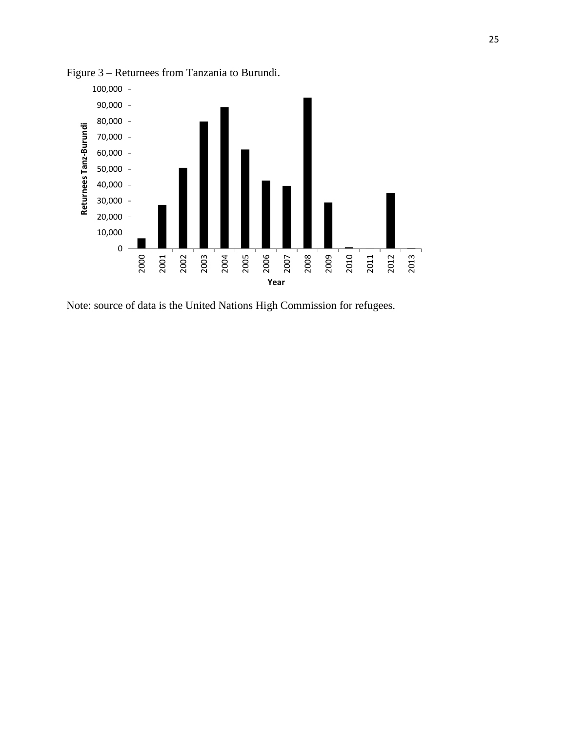

Figure 3 – Returnees from Tanzania to Burundi.

Note: source of data is the United Nations High Commission for refugees.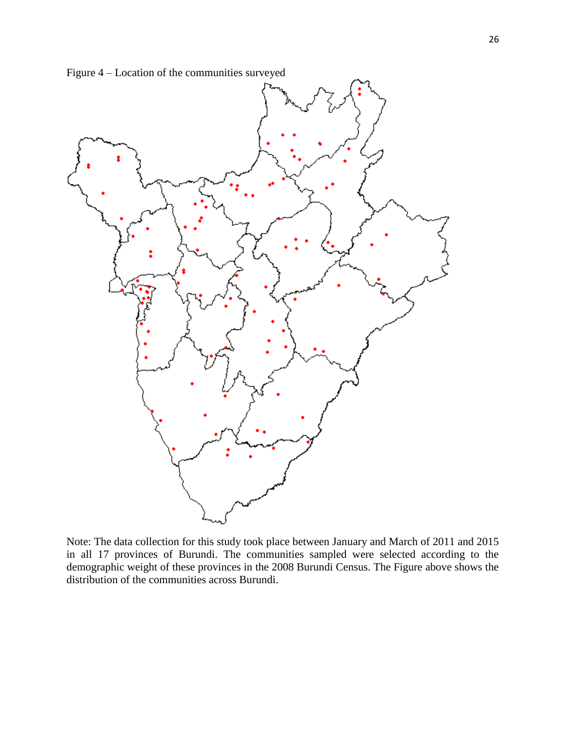



Note: The data collection for this study took place between January and March of 2011 and 2015 in all 17 provinces of Burundi. The communities sampled were selected according to the demographic weight of these provinces in the 2008 Burundi Census. The Figure above shows the distribution of the communities across Burundi.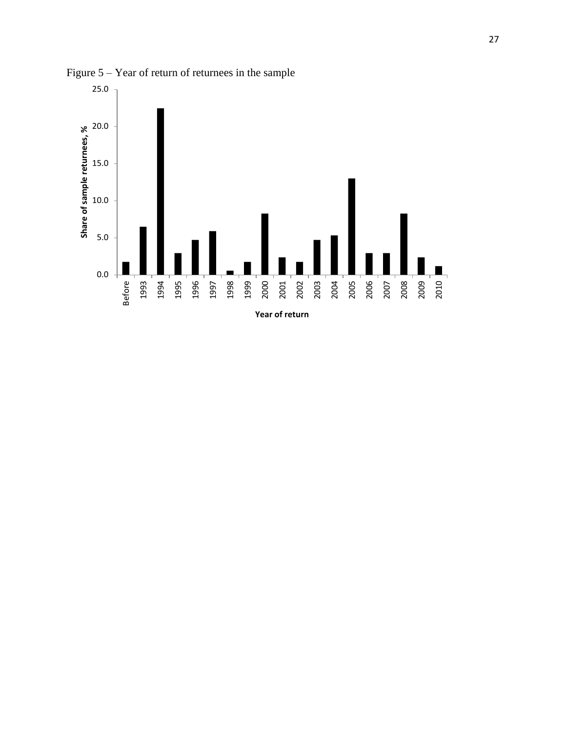

Figure 5 – Year of return of returnees in the sample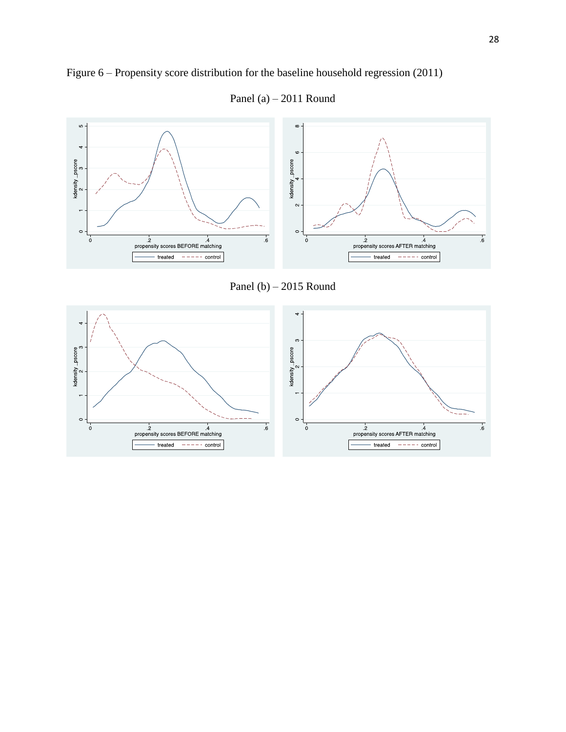

Figure 6 – Propensity score distribution for the baseline household regression (2011)



Panel (a) – 2011 Round

Panel (b) – 2015 Round

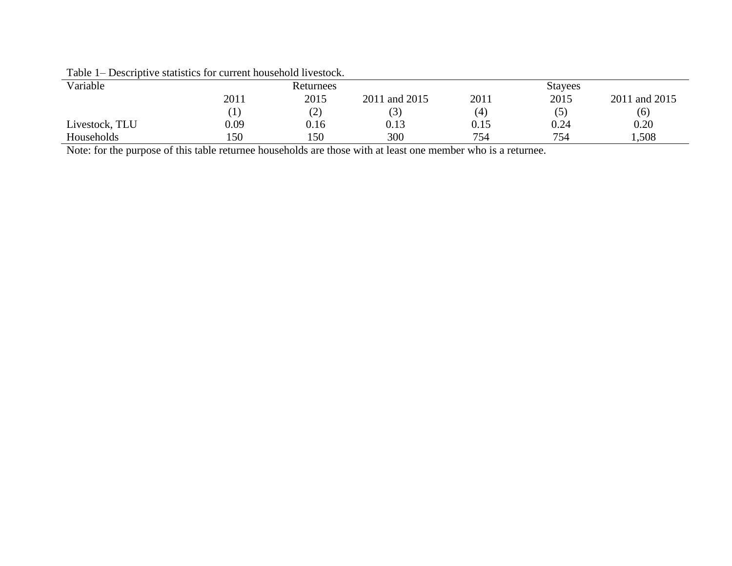| $   -$         |                  |           |               |      |                |               |
|----------------|------------------|-----------|---------------|------|----------------|---------------|
| Variable       |                  | Returnees |               |      | <b>Stayees</b> |               |
|                | 2011             | 2015      | 2011 and 2015 | 2011 | 2015           | 2011 and 2015 |
|                | $\left[1\right]$ | (2)       | (3)           | (4)  | (5)            | (6)           |
| Livestock, TLU | 0.09             | 0.16      | 0.13          | 0.15 | 0.24           | 0.20          |
| Households     | !50              | 150       | 300           | 754  | 754            | 1,508         |
|                |                  |           |               |      |                |               |

Table 1– Descriptive statistics for current household livestock.

Note: for the purpose of this table returnee households are those with at least one member who is a returnee.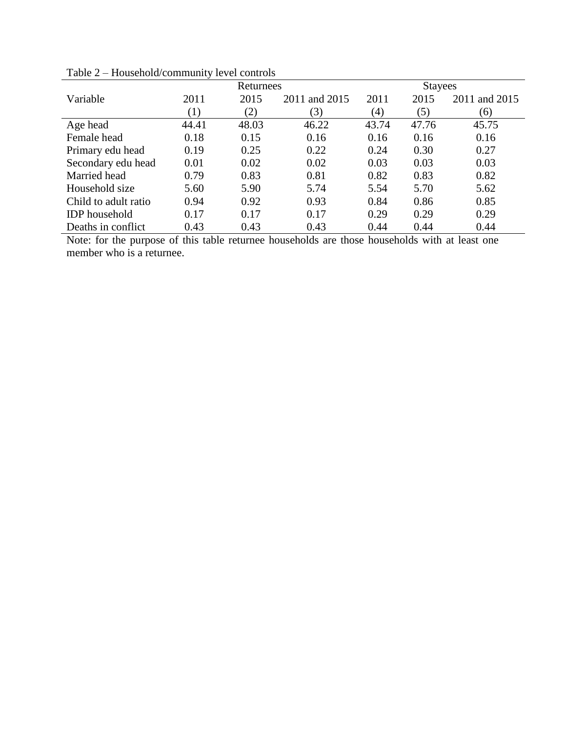|                      | Returnees | <b>Stayees</b> |               |       |       |               |
|----------------------|-----------|----------------|---------------|-------|-------|---------------|
| Variable             | 2011      | 2015           | 2011 and 2015 | 2011  | 2015  | 2011 and 2015 |
|                      | (1)       | (2)            | (3)           | (4)   | (5)   | (6)           |
| Age head             | 44.41     | 48.03          | 46.22         | 43.74 | 47.76 | 45.75         |
| Female head          | 0.18      | 0.15           | 0.16          | 0.16  | 0.16  | 0.16          |
| Primary edu head     | 0.19      | 0.25           | 0.22          | 0.24  | 0.30  | 0.27          |
| Secondary edu head   | 0.01      | 0.02           | 0.02          | 0.03  | 0.03  | 0.03          |
| Married head         | 0.79      | 0.83           | 0.81          | 0.82  | 0.83  | 0.82          |
| Household size       | 5.60      | 5.90           | 5.74          | 5.54  | 5.70  | 5.62          |
| Child to adult ratio | 0.94      | 0.92           | 0.93          | 0.84  | 0.86  | 0.85          |
| <b>IDP</b> household | 0.17      | 0.17           | 0.17          | 0.29  | 0.29  | 0.29          |
| Deaths in conflict   | 0.43      | 0.43           | 0.43          | 0.44  | 0.44  | 0.44          |

Table 2 – Household/community level controls

Note: for the purpose of this table returnee households are those households with at least one member who is a returnee.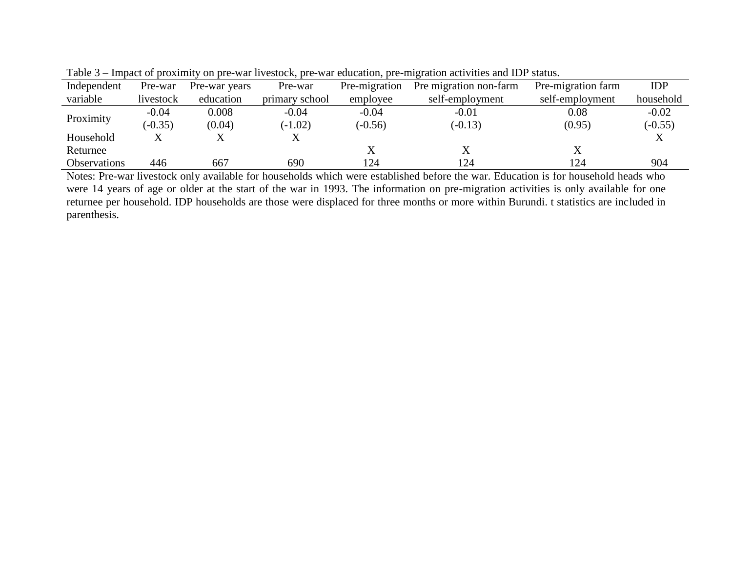| Independent         | Pre-war   | Pre-war years | Pre-war        | Pre-migration | Pre migration non-farm | Pre-migration farm | <b>IDP</b> |
|---------------------|-----------|---------------|----------------|---------------|------------------------|--------------------|------------|
| variable            | livestock | education     | primary school | employee      | self-employment        | self-employment    | household  |
| Proximity           | $-0.04$   | 0.008         | $-0.04$        | $-0.04$       | $-0.01$                | 0.08               | $-0.02$    |
|                     | $(-0.35)$ | (0.04)        | $(-1.02)$      | $(-0.56)$     | $(-0.13)$              | (0.95)             | $(-0.55)$  |
| Household           |           | △             | л              |               |                        |                    |            |
| Returnee            |           |               |                | △             |                        |                    |            |
| <b>Observations</b> | 446       | 667           | 690            | 124           | 124                    | 124                | 904        |

Table 3 – Impact of proximity on pre-war livestock, pre-war education, pre-migration activities and IDP status.

Notes: Pre-war livestock only available for households which were established before the war. Education is for household heads who were 14 years of age or older at the start of the war in 1993. The information on pre-migration activities is only available for one returnee per household. IDP households are those were displaced for three months or more within Burundi. t statistics are included in parenthesis.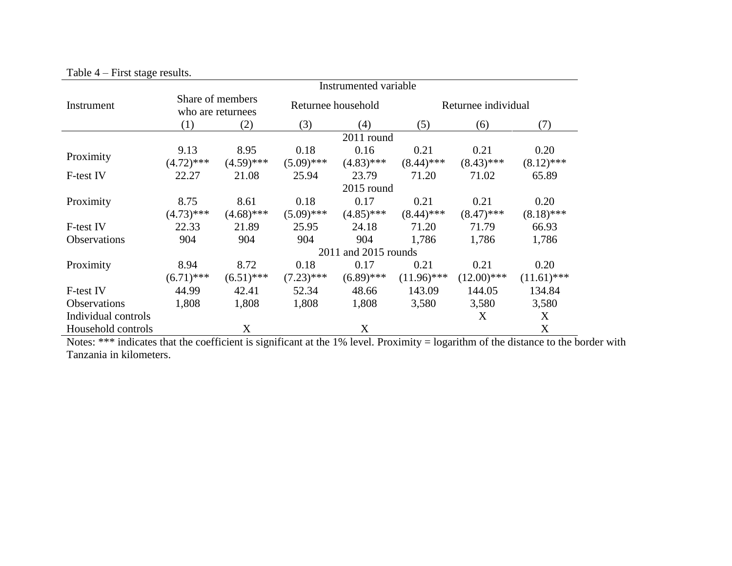|                     | Instrumented variable                 |              |              |                      |               |                     |               |  |  |  |
|---------------------|---------------------------------------|--------------|--------------|----------------------|---------------|---------------------|---------------|--|--|--|
| Instrument          | Share of members<br>who are returnees |              |              | Returnee household   |               | Returnee individual |               |  |  |  |
|                     | (1)                                   | (2)          | (3)          | (4)                  | (5)           | (6)                 | (7)           |  |  |  |
|                     |                                       |              |              | 2011 round           |               |                     |               |  |  |  |
|                     | 9.13                                  | 8.95         | 0.18         | 0.16                 | 0.21          | 0.21                | 0.20          |  |  |  |
| Proximity           | $(4.72)$ ***                          | $(4.59)$ *** | $(5.09)$ *** | $(4.83)$ ***         | $(8.44)$ ***  | $(8.43)$ ***        | $(8.12)$ ***  |  |  |  |
| F-test IV           | 22.27                                 | 21.08        | 25.94        | 23.79                | 71.20         | 71.02               | 65.89         |  |  |  |
|                     |                                       |              |              | 2015 round           |               |                     |               |  |  |  |
| Proximity           | 8.75                                  | 8.61         | 0.18         | 0.17                 | 0.21          | 0.21                | 0.20          |  |  |  |
|                     | $(4.73)$ ***                          | $(4.68)$ *** | $(5.09)$ *** | $(4.85)$ ***         | $(8.44)$ ***  | $(8.47)$ ***        | $(8.18)$ ***  |  |  |  |
| F-test IV           | 22.33                                 | 21.89        | 25.95        | 24.18                | 71.20         | 71.79               | 66.93         |  |  |  |
| <b>Observations</b> | 904                                   | 904          | 904          | 904                  | 1,786         | 1,786               | 1,786         |  |  |  |
|                     |                                       |              |              | 2011 and 2015 rounds |               |                     |               |  |  |  |
| Proximity           | 8.94                                  | 8.72         | 0.18         | 0.17                 | 0.21          | 0.21                | 0.20          |  |  |  |
|                     | $(6.71)$ ***                          | $(6.51)$ *** | $(7.23)$ *** | $(6.89)$ ***         | $(11.96)$ *** | $(12.00)$ ***       | $(11.61)$ *** |  |  |  |
| F-test IV           | 44.99                                 | 42.41        | 52.34        | 48.66                | 143.09        | 144.05              | 134.84        |  |  |  |
| <b>Observations</b> | 1,808                                 | 1,808        | 1,808        | 1,808                | 3,580         | 3,580               | 3,580         |  |  |  |
| Individual controls |                                       |              |              |                      |               | X                   | X             |  |  |  |
| Household controls  |                                       | X            |              | X                    |               |                     | X             |  |  |  |

Table 4 – First stage results.

Notes: \*\*\* indicates that the coefficient is significant at the 1% level. Proximity = logarithm of the distance to the border with Tanzania in kilometers.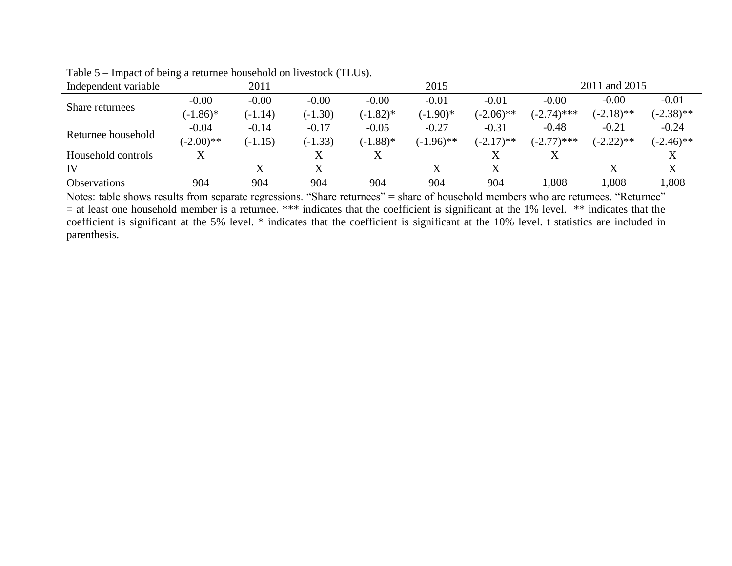| Independent variable | 2011         |           |           | 2015        |              |              | 2011 and 2015 |              |              |
|----------------------|--------------|-----------|-----------|-------------|--------------|--------------|---------------|--------------|--------------|
| Share returnees      | $-0.00$      | $-0.00$   | $-0.00$   | $-0.00$     | $-0.01$      | $-0.01$      | $-0.00$       | $-0.00$      | $-0.01$      |
|                      | $(-1.86)^*$  | $(-1.14)$ | $(-1.30)$ | $(-1.82)^*$ | $(-1.90)*$   | $(-2.06)$ ** | $(-2.74)$ *** | $(-2.18)$ ** | $(-2.38)$ ** |
|                      | $-0.04$      | $-0.14$   | $-0.17$   | $-0.05$     | $-0.27$      | $-0.31$      | $-0.48$       | $-0.21$      | $-0.24$      |
| Returnee household   | $(-2.00)$ ** | $(-1.15)$ | $(-1.33)$ | $(-1.88)$ * | $(-1.96)$ ** | $(-2.17)$ ** | $(-2.77)$ *** | $(-2.22)$ ** | $(-2.46)$ ** |
| Household controls   |              |           |           |             |              | X            |               |              |              |
| IV                   |              |           |           |             |              | X            |               |              |              |
| <b>Observations</b>  | 904          | 904       | 904       | 904         | 904          | 904          | .808          | 1,808        | .808         |

Table 5 – Impact of being a returnee household on livestock (TLUs).

Notes: table shows results from separate regressions. "Share returnees" = share of household members who are returnees. "Returnee" = at least one household member is a returnee. \*\*\* indicates that the coefficient is significant at the 1% level. \*\* indicates that the coefficient is significant at the 5% level. \* indicates that the coefficient is significant at the 10% level. t statistics are included in parenthesis.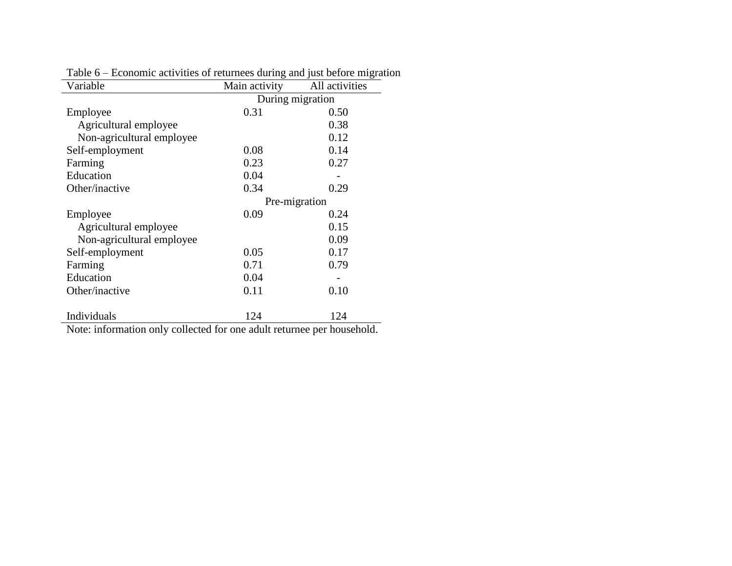| Variable                  | Main activity    | All activities |
|---------------------------|------------------|----------------|
|                           | During migration |                |
| Employee                  | 0.31             | 0.50           |
| Agricultural employee     |                  | 0.38           |
| Non-agricultural employee |                  | 0.12           |
| Self-employment           | 0.08             | 0.14           |
| Farming                   | 0.23             | 0.27           |
| Education                 | 0.04             |                |
| Other/inactive            | 0.34             | 0.29           |
|                           | Pre-migration    |                |
| Employee                  | 0.09             | 0.24           |
| Agricultural employee     |                  | 0.15           |
| Non-agricultural employee |                  | 0.09           |
| Self-employment           | 0.05             | 0.17           |
| Farming                   | 0.71             | 0.79           |
| Education                 | 0.04             |                |
| Other/inactive            | 0.11             | 0.10           |
|                           |                  |                |
| Individuals               | 124              | 124            |

Table 6 – Economic activities of returnees during and just before migration

Note: information only collected for one adult returnee per household.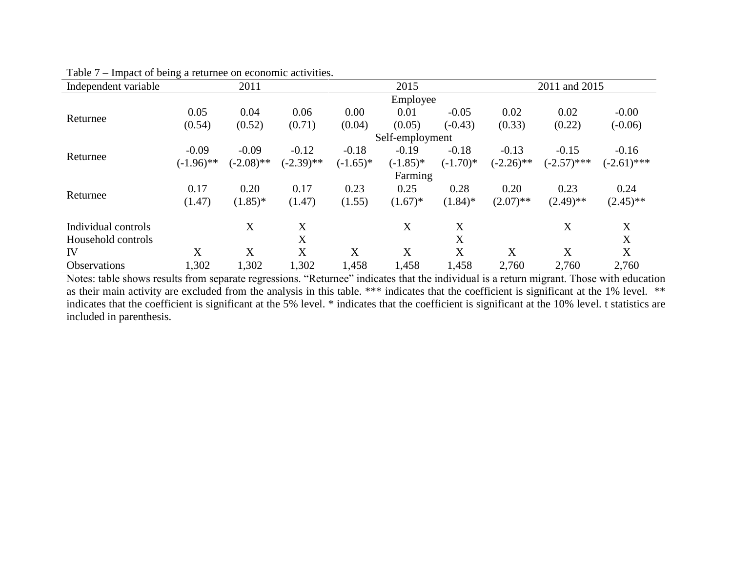| Independent variable | 2011         |              |              | 2015       |                 |            | 2011 and 2015 |               |               |  |
|----------------------|--------------|--------------|--------------|------------|-----------------|------------|---------------|---------------|---------------|--|
|                      | Employee     |              |              |            |                 |            |               |               |               |  |
| Returnee             | 0.05         | 0.04         | 0.06         | 0.00       | 0.01            | $-0.05$    | 0.02          | 0.02          | $-0.00$       |  |
|                      | (0.54)       | (0.52)       | (0.71)       | (0.04)     | (0.05)          | $(-0.43)$  | (0.33)        | (0.22)        | $(-0.06)$     |  |
|                      |              |              |              |            | Self-employment |            |               |               |               |  |
|                      | $-0.09$      | $-0.09$      | $-0.12$      | $-0.18$    | $-0.19$         | $-0.18$    | $-0.13$       | $-0.15$       | $-0.16$       |  |
| Returnee             | $(-1.96)$ ** | $(-2.08)$ ** | $(-2.39)$ ** | $(-1.65)*$ | $(-1.85)*$      | $(-1.70)*$ | $(-2.26)$ **  | $(-2.57)$ *** | $(-2.61)$ *** |  |
|                      |              |              |              |            | Farming         |            |               |               |               |  |
|                      | 0.17         | 0.20         | 0.17         | 0.23       | 0.25            | 0.28       | 0.20          | 0.23          | 0.24          |  |
| Returnee             | (1.47)       | $(1.85)*$    | (1.47)       | (1.55)     | $(1.67)^*$      | $(1.84)$ * | $(2.07)$ **   | $(2.49)$ **   | $(2.45)$ **   |  |
| Individual controls  |              | X            | X            |            | X               | X          |               | X             | X             |  |
| Household controls   |              |              | X            |            |                 | X          |               |               | X             |  |
| IV                   | X            | X            | X            | X          | X               | X          | X             | X             | X             |  |
| <b>Observations</b>  | 1,302        | 1,302        | 1,302        | 1,458      | 1,458           | 1,458      | 2,760         | 2,760         | 2,760         |  |

Table 7 – Impact of being a returnee on economic activities.

Notes: table shows results from separate regressions. "Returnee" indicates that the individual is a return migrant. Those with education as their main activity are excluded from the analysis in this table. \*\*\* indicates that the coefficient is significant at the 1% level. \*\* indicates that the coefficient is significant at the 5% level. \* indicates that the coefficient is significant at the 10% level. t statistics are included in parenthesis.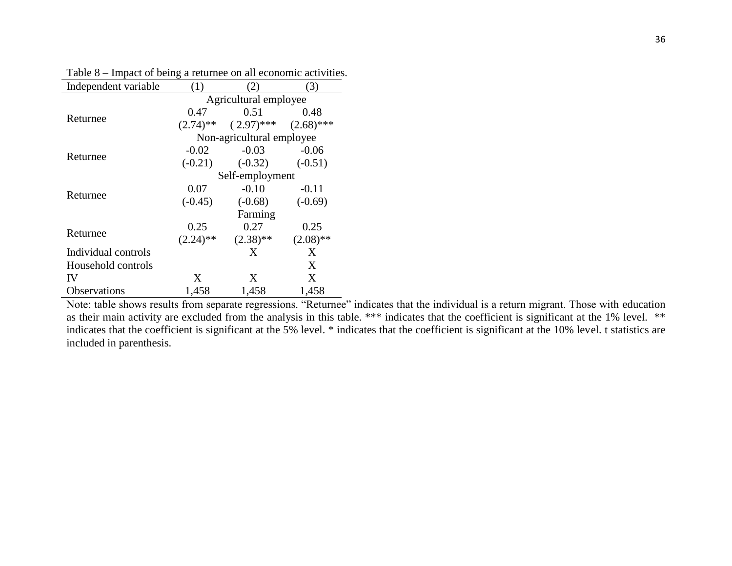| Independent variable | (1)                       | 2)           | 3)           |  |  |  |  |  |
|----------------------|---------------------------|--------------|--------------|--|--|--|--|--|
|                      | Agricultural employee     |              |              |  |  |  |  |  |
| Returnee             | 0.47                      | 0.51         | 0.48         |  |  |  |  |  |
|                      | $(2.74)$ **               | $(2.97)$ *** | $(2.68)$ *** |  |  |  |  |  |
|                      | Non-agricultural employee |              |              |  |  |  |  |  |
|                      | $-0.02$                   | $-0.03$      | $-0.06$      |  |  |  |  |  |
| Returnee             | $(-0.21)$                 | $(-0.32)$    | $(-0.51)$    |  |  |  |  |  |
|                      | Self-employment           |              |              |  |  |  |  |  |
|                      | 0.07                      | $-0.10$      | $-0.11$      |  |  |  |  |  |
| Returnee             | $(-0.45)$                 | $(-0.68)$    | $(-0.69)$    |  |  |  |  |  |
|                      |                           | Farming      |              |  |  |  |  |  |
|                      | 0.25                      | 0.27         | 0.25         |  |  |  |  |  |
| Returnee             | $(2.24)$ **               | $(2.38)$ **  | $(2.08)$ **  |  |  |  |  |  |
| Individual controls  |                           | X            | X            |  |  |  |  |  |
| Household controls   |                           |              | X            |  |  |  |  |  |
| IV                   | X                         | X            | X            |  |  |  |  |  |
| Observations         | 1,458                     | 1,458        | 1,458        |  |  |  |  |  |

Table 8 – Impact of being a returnee on all economic activities.

Note: table shows results from separate regressions. "Returnee" indicates that the individual is a return migrant. Those with education as their main activity are excluded from the analysis in this table. \*\*\* indicates that the coefficient is significant at the 1% level. \*\* indicates that the coefficient is significant at the 5% level. \* indicates that the coefficient is significant at the 10% level. t statistics are included in parenthesis.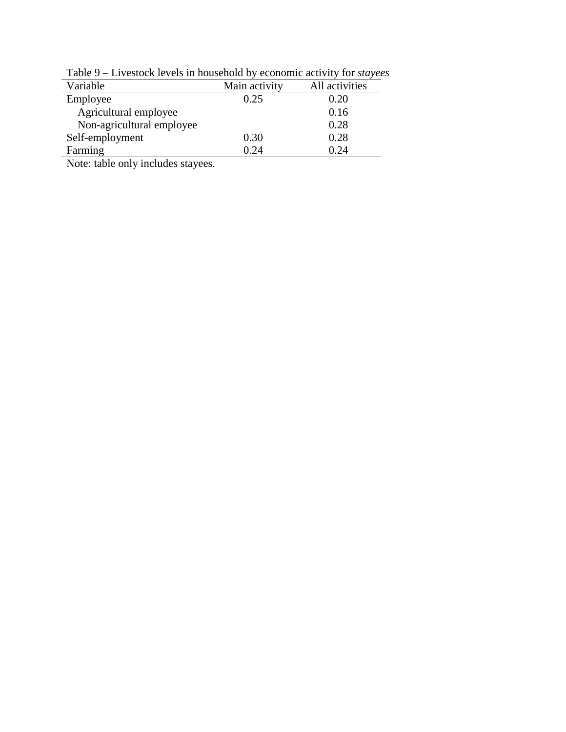| Variable                  | Main activity | All activities |
|---------------------------|---------------|----------------|
| Employee                  | 0.25          | 0.20           |
| Agricultural employee     |               | 0.16           |
| Non-agricultural employee |               | 0.28           |
| Self-employment           | 0.30          | 0.28           |
| Farming                   | በ 24          | 0 24           |

Table 9 – Livestock levels in household by economic activity for *stayees*

Note: table only includes stayees.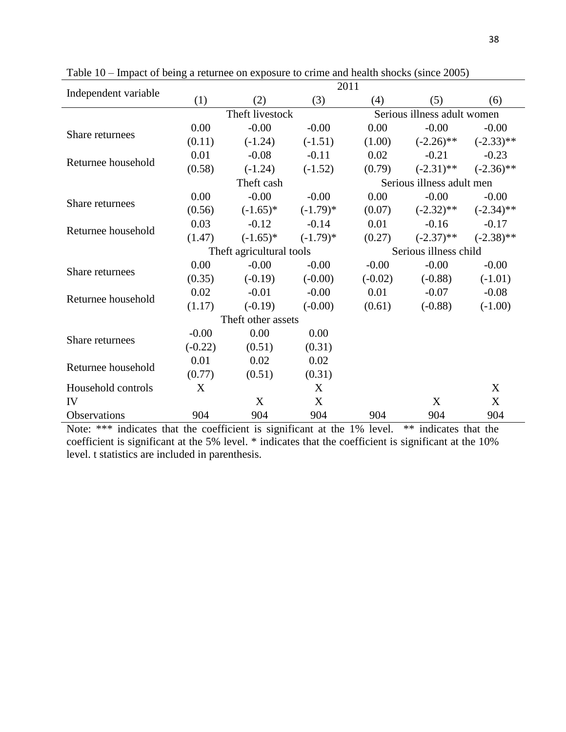|                      |           |                          | 2011       |                             |                           |              |  |
|----------------------|-----------|--------------------------|------------|-----------------------------|---------------------------|--------------|--|
| Independent variable | (1)       | (2)                      | (3)        | (4)                         | (5)                       | (6)          |  |
|                      |           | Theft livestock          |            | Serious illness adult women |                           |              |  |
|                      | 0.00      | $-0.00$                  | $-0.00$    | 0.00                        | $-0.00$                   | $-0.00$      |  |
| Share returnees      | (0.11)    | $(-1.24)$                | $(-1.51)$  | (1.00)                      | $(-2.26)$ **              | $(-2.33)$ ** |  |
| Returnee household   | 0.01      | $-0.08$                  | $-0.11$    | 0.02                        | $-0.21$                   | $-0.23$      |  |
|                      | (0.58)    | $(-1.24)$                | $(-1.52)$  | (0.79)                      | $(-2.31)$ **              | $(-2.36)$ ** |  |
|                      |           | Theft cash               |            |                             | Serious illness adult men |              |  |
| Share returnees      | 0.00      | $-0.00$                  | $-0.00$    | 0.00                        | $-0.00$                   | $-0.00$      |  |
|                      | (0.56)    | $(-1.65)^*$              | $(-1.79)*$ | (0.07)                      | $(-2.32)$ **              | $(-2.34)$ ** |  |
| Returnee household   | 0.03      | $-0.12$                  | $-0.14$    | 0.01                        | $-0.16$                   | $-0.17$      |  |
|                      | (1.47)    | $(-1.65)^*$              | $(-1.79)*$ | (0.27)                      | $(-2.37)$ **              | $(-2.38)$ ** |  |
|                      |           | Theft agricultural tools |            |                             | Serious illness child     |              |  |
| Share returnees      | 0.00      | $-0.00$                  | $-0.00$    | $-0.00$                     | $-0.00$                   | $-0.00$      |  |
|                      | (0.35)    | $(-0.19)$                | $(-0.00)$  | $(-0.02)$                   | $(-0.88)$                 | $(-1.01)$    |  |
| Returnee household   | 0.02      | $-0.01$                  | $-0.00$    | 0.01                        | $-0.07$                   | $-0.08$      |  |
|                      | (1.17)    | $(-0.19)$                | $(-0.00)$  | (0.61)                      | $(-0.88)$                 | $(-1.00)$    |  |
|                      |           | Theft other assets       |            |                             |                           |              |  |
| Share returnees      | $-0.00$   | 0.00                     | 0.00       |                             |                           |              |  |
|                      | $(-0.22)$ | (0.51)                   | (0.31)     |                             |                           |              |  |
| Returnee household   | 0.01      | 0.02                     | 0.02       |                             |                           |              |  |
|                      | (0.77)    | (0.51)                   | (0.31)     |                             |                           |              |  |
| Household controls   | X         |                          | X          |                             |                           | X            |  |
| IV                   |           | X                        | X          |                             | X                         | X            |  |
| Observations         | 904       | 904                      | 904        | 904                         | 904                       | 904          |  |

Table 10 – Impact of being a returnee on exposure to crime and health shocks (since 2005)

Note: \*\*\* indicates that the coefficient is significant at the 1% level. \*\* indicates that the coefficient is significant at the 5% level. \* indicates that the coefficient is significant at the 10% level. t statistics are included in parenthesis.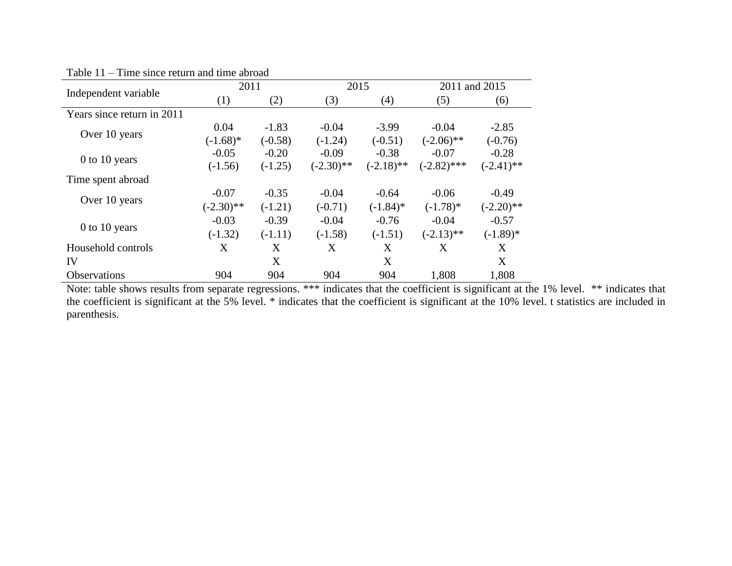|                            | 2011         |           | 2015         |              | 2011 and 2015 |              |
|----------------------------|--------------|-----------|--------------|--------------|---------------|--------------|
| Independent variable       | (1)          | (2)       | (3)          | (4)          | (5)           | (6)          |
| Years since return in 2011 |              |           |              |              |               |              |
| Over 10 years              | 0.04         | $-1.83$   | $-0.04$      | $-3.99$      | $-0.04$       | $-2.85$      |
|                            | $(-1.68)$ *  | $(-0.58)$ | $(-1.24)$    | $(-0.51)$    | $(-2.06)$ **  | $(-0.76)$    |
| 0 to 10 years              | $-0.05$      | $-0.20$   | $-0.09$      | $-0.38$      | $-0.07$       | $-0.28$      |
|                            | $(-1.56)$    | $(-1.25)$ | $(-2.30)$ ** | $(-2.18)$ ** | $(-2.82)$ *** | $(-2.41)$ ** |
| Time spent abroad          |              |           |              |              |               |              |
| Over 10 years              | $-0.07$      | $-0.35$   | $-0.04$      | $-0.64$      | $-0.06$       | $-0.49$      |
|                            | $(-2.30)$ ** | $(-1.21)$ | $(-0.71)$    | $(-1.84)$ *  | $(-1.78)*$    | $(-2.20)$ ** |
|                            | $-0.03$      | $-0.39$   | $-0.04$      | $-0.76$      | $-0.04$       | $-0.57$      |
| $0$ to 10 years            | $(-1.32)$    | $(-1.11)$ | $(-1.58)$    | $(-1.51)$    | $(-2.13)$ **  | $(-1.89)$ *  |
| Household controls         | X            | X         | X            | X            | X             | X            |
| IV                         |              | X         |              | X            |               | X            |
| <b>Observations</b>        | 904          | 904       | 904          | 904          | 1,808         | 1,808        |

Table 11 – Time since return and time abroad

Note: table shows results from separate regressions. \*\*\* indicates that the coefficient is significant at the 1% level. \*\* indicates that the coefficient is significant at the 5% level. \* indicates that the coefficient is significant at the 10% level. t statistics are included in parenthesis.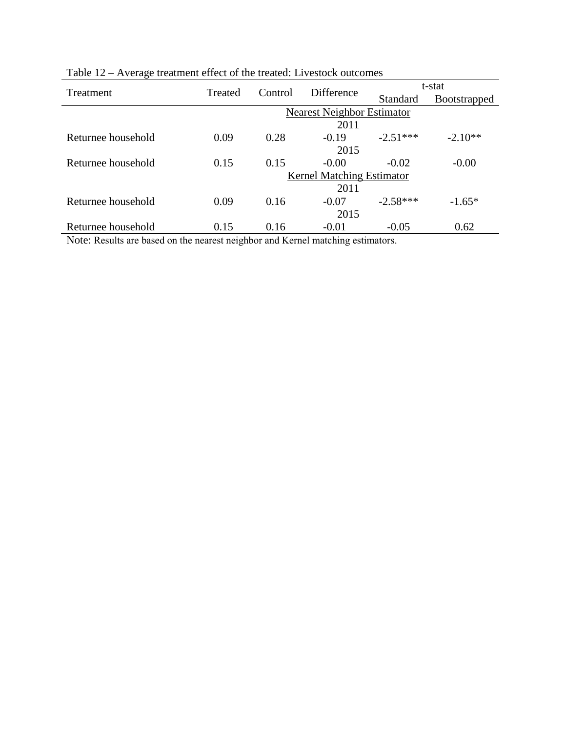|      |         |         | t-stat                                                 |                                                                |  |
|------|---------|---------|--------------------------------------------------------|----------------------------------------------------------------|--|
|      |         |         | <b>Standard</b>                                        | <b>Bootstrapped</b>                                            |  |
|      |         |         |                                                        |                                                                |  |
|      |         | 2011    |                                                        |                                                                |  |
| 0.09 | 0.28    | $-0.19$ | $-2.51***$                                             | $-2.10**$                                                      |  |
|      |         | 2015    |                                                        |                                                                |  |
| 0.15 | 0.15    | $-0.00$ | $-0.02$                                                | $-0.00$                                                        |  |
|      |         |         |                                                        |                                                                |  |
|      |         | 2011    |                                                        |                                                                |  |
| 0.09 | 0.16    | $-0.07$ | $-2.58***$                                             | $-1.65*$                                                       |  |
|      |         | 2015    |                                                        |                                                                |  |
| 0.15 | 0.16    | $-0.01$ | $-0.05$                                                | 0.62                                                           |  |
|      | Treated | Control | <b>Difference</b><br>.<br>.<br>$\sim$<br>$\sim$ $\sim$ | Nearest Neighbor Estimator<br><b>Kernel Matching Estimator</b> |  |

Table 12 – Average treatment effect of the treated: Livestock outcomes

Note: Results are based on the nearest neighbor and Kernel matching estimators.